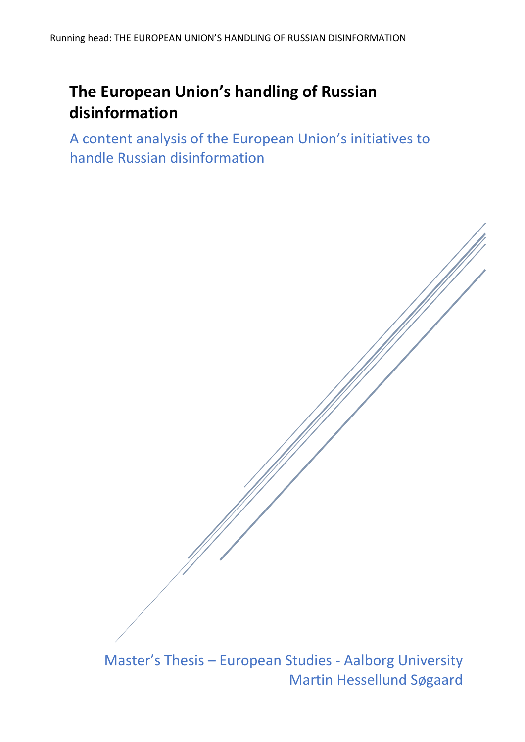# **The European Union's handling of Russian disinformation**

A content analysis of the European Union's initiatives to handle Russian disinformation

Master's Thesis – European Studies - Aalborg University Martin Hessellund Søgaard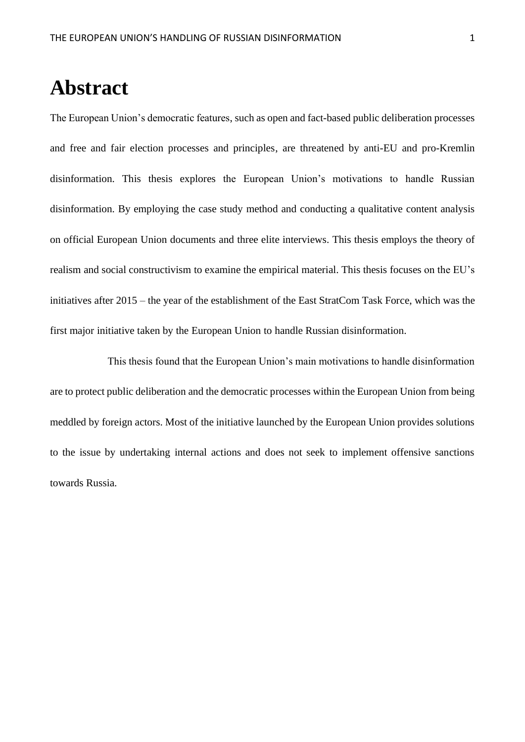# **Abstract**

The European Union's democratic features, such as open and fact-based public deliberation processes and free and fair election processes and principles, are threatened by anti-EU and pro-Kremlin disinformation. This thesis explores the European Union's motivations to handle Russian disinformation. By employing the case study method and conducting a qualitative content analysis on official European Union documents and three elite interviews. This thesis employs the theory of realism and social constructivism to examine the empirical material. This thesis focuses on the EU's initiatives after 2015 – the year of the establishment of the East StratCom Task Force, which was the first major initiative taken by the European Union to handle Russian disinformation.

This thesis found that the European Union's main motivations to handle disinformation are to protect public deliberation and the democratic processes within the European Union from being meddled by foreign actors. Most of the initiative launched by the European Union provides solutions to the issue by undertaking internal actions and does not seek to implement offensive sanctions towards Russia.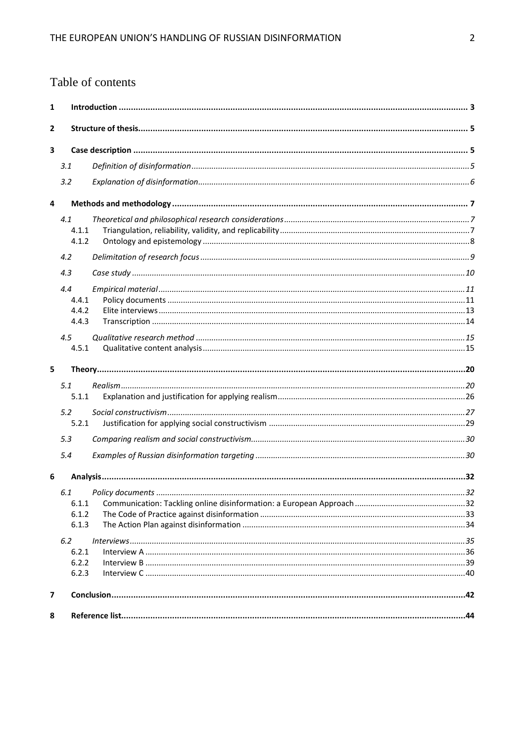# Table of contents

| 1 |       |  |
|---|-------|--|
| 2 |       |  |
| 3 |       |  |
|   | 3.1   |  |
|   | 3.2   |  |
| 4 |       |  |
|   | 4.1   |  |
|   | 4.1.1 |  |
|   | 4.1.2 |  |
|   | 4.2   |  |
|   | 4.3   |  |
|   | 4.4   |  |
|   | 4.4.1 |  |
|   | 4.4.2 |  |
|   | 4.4.3 |  |
|   | 4.5   |  |
|   | 4.5.1 |  |
| 5 |       |  |
|   | 5.1   |  |
|   | 5.1.1 |  |
|   | 5.2   |  |
|   | 5.2.1 |  |
|   | 5.3   |  |
|   |       |  |
|   | 5.4   |  |
| 6 |       |  |
|   | 6.1   |  |
|   | 6.1.1 |  |
|   | 6.1.2 |  |
|   | 6.1.3 |  |
|   | 6.2   |  |
|   | 6.2.1 |  |
|   | 6.2.2 |  |
|   | 6.2.3 |  |
| 7 |       |  |
| 8 |       |  |
|   |       |  |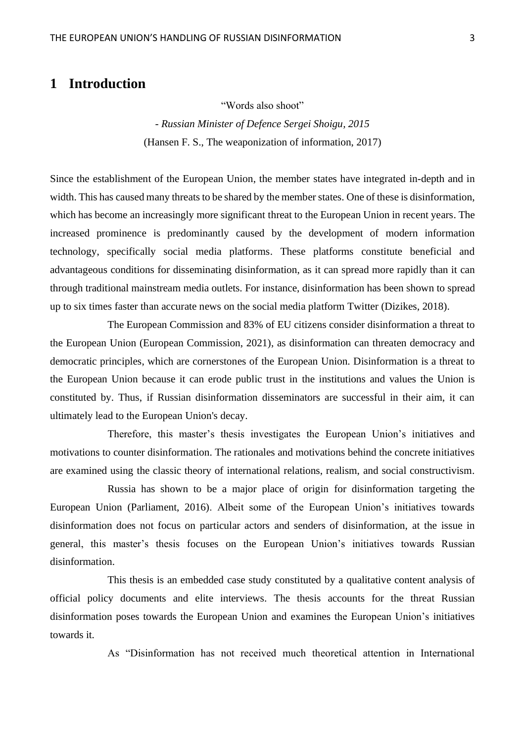# <span id="page-3-0"></span>**1 Introduction**

"Words also shoot"

*- Russian Minister of Defence Sergei Shoigu, 2015* (Hansen F. S., The weaponization of information, 2017)

Since the establishment of the European Union, the member states have integrated in-depth and in width. This has caused many threats to be shared by the member states. One of these is disinformation, which has become an increasingly more significant threat to the European Union in recent years. The increased prominence is predominantly caused by the development of modern information technology, specifically social media platforms. These platforms constitute beneficial and advantageous conditions for disseminating disinformation, as it can spread more rapidly than it can through traditional mainstream media outlets. For instance, disinformation has been shown to spread up to six times faster than accurate news on the social media platform Twitter (Dizikes, 2018).

The European Commission and 83% of EU citizens consider disinformation a threat to the European Union (European Commission, 2021), as disinformation can threaten democracy and democratic principles, which are cornerstones of the European Union. Disinformation is a threat to the European Union because it can erode public trust in the institutions and values the Union is constituted by. Thus, if Russian disinformation disseminators are successful in their aim, it can ultimately lead to the European Union's decay.

Therefore, this master's thesis investigates the European Union's initiatives and motivations to counter disinformation. The rationales and motivations behind the concrete initiatives are examined using the classic theory of international relations, realism, and social constructivism.

Russia has shown to be a major place of origin for disinformation targeting the European Union (Parliament, 2016). Albeit some of the European Union's initiatives towards disinformation does not focus on particular actors and senders of disinformation, at the issue in general, this master's thesis focuses on the European Union's initiatives towards Russian disinformation.

This thesis is an embedded case study constituted by a qualitative content analysis of official policy documents and elite interviews. The thesis accounts for the threat Russian disinformation poses towards the European Union and examines the European Union's initiatives towards it.

As "Disinformation has not received much theoretical attention in International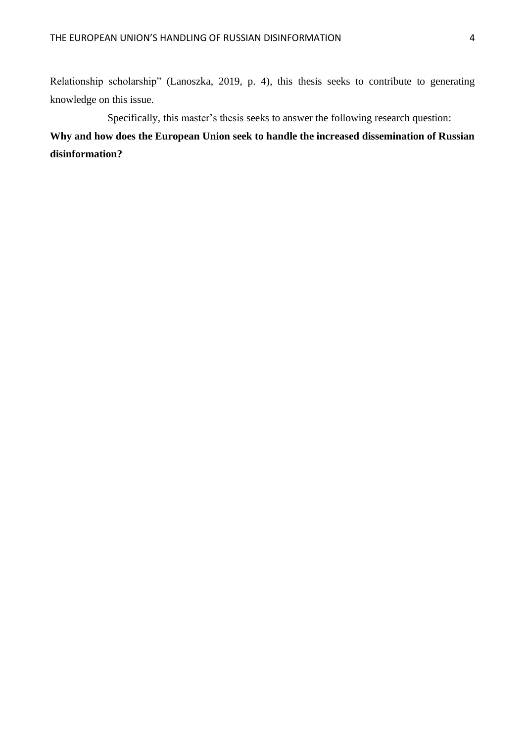Relationship scholarship" (Lanoszka, 2019, p. 4), this thesis seeks to contribute to generating knowledge on this issue.

Specifically, this master's thesis seeks to answer the following research question: **Why and how does the European Union seek to handle the increased dissemination of Russian disinformation?**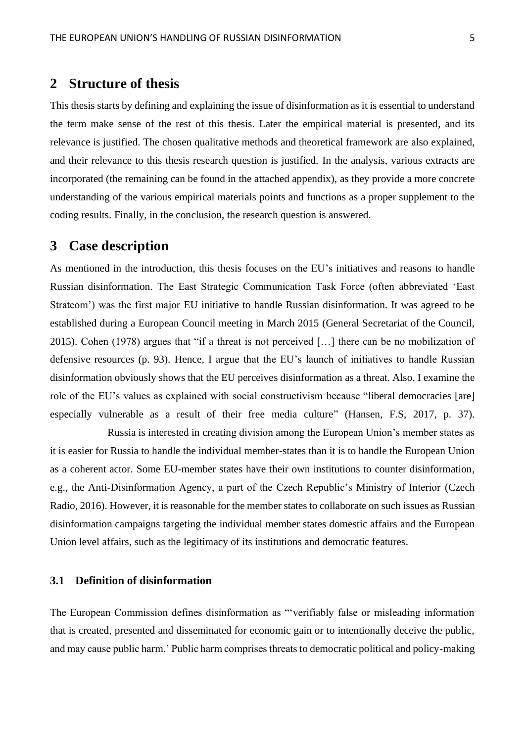# <span id="page-5-0"></span>**2 Structure of thesis**

This thesis starts by defining and explaining the issue of disinformation as it is essential to understand the term make sense of the rest of this thesis. Later the empirical material is presented, and its relevance is justified. The chosen qualitative methods and theoretical framework are also explained, and their relevance to this thesis research question is justified. In the analysis, various extracts are incorporated (the remaining can be found in the attached appendix), as they provide a more concrete understanding of the various empirical materials points and functions as a proper supplement to the coding results. Finally, in the conclusion, the research question is answered.

# <span id="page-5-1"></span>**3 Case description**

As mentioned in the introduction, this thesis focuses on the EU's initiatives and reasons to handle Russian disinformation. The East Strategic Communication Task Force (often abbreviated 'East Stratcom') was the first major EU initiative to handle Russian disinformation. It was agreed to be established during a European Council meeting in March 2015 (General Secretariat of the Council, 2015). Cohen (1978) argues that "if a threat is not perceived […] there can be no mobilization of defensive resources (p. 93). Hence, I argue that the EU's launch of initiatives to handle Russian disinformation obviously shows that the EU perceives disinformation as a threat. Also, I examine the role of the EU's values as explained with social constructivism because "liberal democracies [are] especially vulnerable as a result of their free media culture" (Hansen, F.S, 2017, p. 37).

Russia is interested in creating division among the European Union's member states as it is easier for Russia to handle the individual member-states than it is to handle the European Union as a coherent actor. Some EU-member states have their own institutions to counter disinformation, e.g., the Anti-Disinformation Agency, a part of the Czech Republic's Ministry of Interior (Czech Radio, 2016). However, it is reasonable for the member states to collaborate on such issues as Russian disinformation campaigns targeting the individual member states domestic affairs and the European Union level affairs, such as the legitimacy of its institutions and democratic features.

# <span id="page-5-2"></span>**3.1 Definition of disinformation**

The European Commission defines disinformation as "'verifiably false or misleading information that is created, presented and disseminated for economic gain or to intentionally deceive the public, and may cause public harm.' Public harm comprises threats to democratic political and policy-making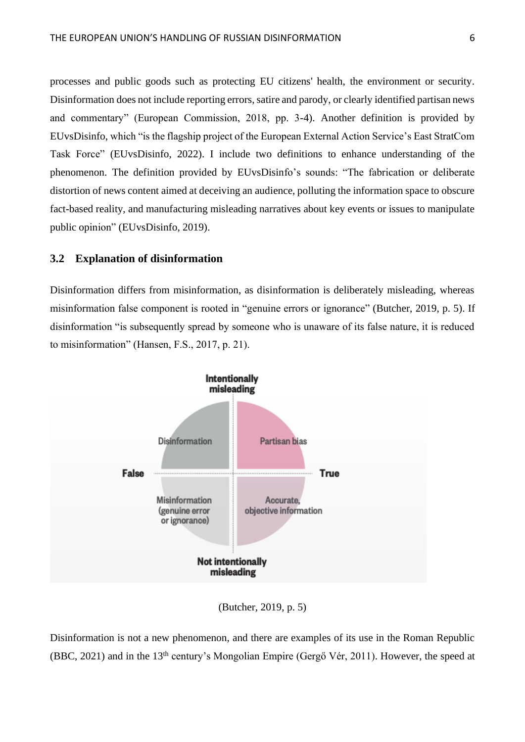processes and public goods such as protecting EU citizens' health, the environment or security. Disinformation does not include reporting errors, satire and parody, or clearly identified partisan news and commentary" (European Commission, 2018, pp. 3-4). Another definition is provided by EUvsDisinfo, which "is the flagship project of the European External Action Service's East StratCom Task Force" (EUvsDisinfo, 2022). I include two definitions to enhance understanding of the phenomenon. The definition provided by EUvsDisinfo's sounds: "The fabrication or deliberate distortion of news content aimed at deceiving an audience, polluting the information space to obscure fact-based reality, and manufacturing misleading narratives about key events or issues to manipulate public opinion" (EUvsDisinfo, 2019).

# <span id="page-6-0"></span>**3.2 Explanation of disinformation**

Disinformation differs from misinformation, as disinformation is deliberately misleading, whereas misinformation false component is rooted in "genuine errors or ignorance" (Butcher, 2019, p. 5). If disinformation "is subsequently spread by someone who is unaware of its false nature, it is reduced to misinformation" (Hansen, F.S., 2017, p. 21).



(Butcher, 2019, p. 5)

Disinformation is not a new phenomenon, and there are examples of its use in the Roman Republic (BBC, 2021) and in the 13th century's Mongolian Empire (Gergő Vér, 2011). However, the speed at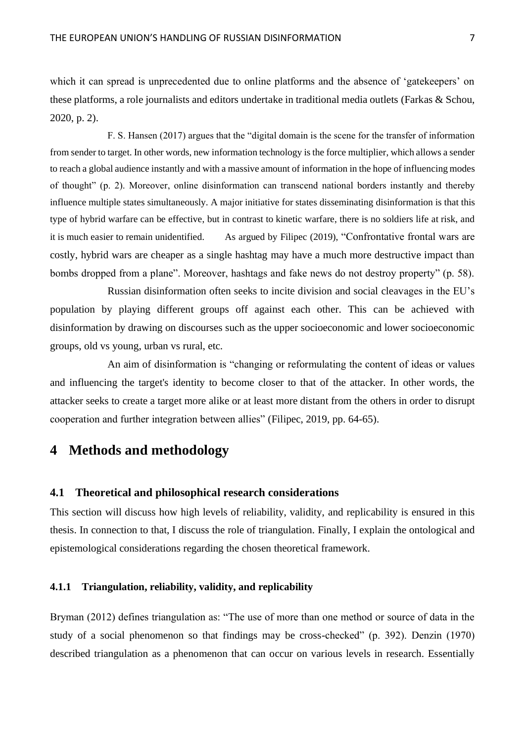which it can spread is unprecedented due to online platforms and the absence of 'gatekeepers' on these platforms, a role journalists and editors undertake in traditional media outlets (Farkas & Schou, 2020, p. 2).

F. S. Hansen (2017) argues that the "digital domain is the scene for the transfer of information from sender to target. In other words, new information technology is the force multiplier, which allows a sender to reach a global audience instantly and with a massive amount of information in the hope of influencing modes of thought" (p. 2). Moreover, online disinformation can transcend national borders instantly and thereby influence multiple states simultaneously. A major initiative for states disseminating disinformation is that this type of hybrid warfare can be effective, but in contrast to kinetic warfare, there is no soldiers life at risk, and it is much easier to remain unidentified. As argued by Filipec (2019), "Confrontative frontal wars are costly, hybrid wars are cheaper as a single hashtag may have a much more destructive impact than bombs dropped from a plane". Moreover, hashtags and fake news do not destroy property" (p. 58).

Russian disinformation often seeks to incite division and social cleavages in the EU's population by playing different groups off against each other. This can be achieved with disinformation by drawing on discourses such as the upper socioeconomic and lower socioeconomic groups, old vs young, urban vs rural, etc.

An aim of disinformation is "changing or reformulating the content of ideas or values and influencing the target's identity to become closer to that of the attacker. In other words, the attacker seeks to create a target more alike or at least more distant from the others in order to disrupt cooperation and further integration between allies" (Filipec, 2019, pp. 64-65).

# <span id="page-7-0"></span>**4 Methods and methodology**

## <span id="page-7-1"></span>**4.1 Theoretical and philosophical research considerations**

This section will discuss how high levels of reliability, validity, and replicability is ensured in this thesis. In connection to that, I discuss the role of triangulation. Finally, I explain the ontological and epistemological considerations regarding the chosen theoretical framework.

# <span id="page-7-2"></span>**4.1.1 Triangulation, reliability, validity, and replicability**

Bryman (2012) defines triangulation as: "The use of more than one method or source of data in the study of a social phenomenon so that findings may be cross-checked" (p. 392). Denzin (1970) described triangulation as a phenomenon that can occur on various levels in research. Essentially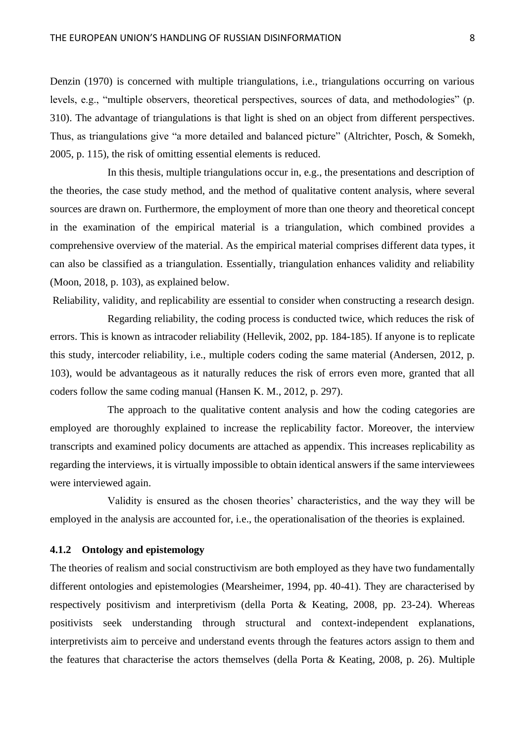Denzin (1970) is concerned with multiple triangulations, i.e., triangulations occurring on various levels, e.g., "multiple observers, theoretical perspectives, sources of data, and methodologies" (p. 310). The advantage of triangulations is that light is shed on an object from different perspectives. Thus, as triangulations give "a more detailed and balanced picture" (Altrichter, Posch, & Somekh, 2005, p. 115), the risk of omitting essential elements is reduced.

In this thesis, multiple triangulations occur in, e.g., the presentations and description of the theories, the case study method, and the method of qualitative content analysis, where several sources are drawn on. Furthermore, the employment of more than one theory and theoretical concept in the examination of the empirical material is a triangulation, which combined provides a comprehensive overview of the material. As the empirical material comprises different data types, it can also be classified as a triangulation. Essentially, triangulation enhances validity and reliability (Moon, 2018, p. 103), as explained below.

Reliability, validity, and replicability are essential to consider when constructing a research design.

Regarding reliability, the coding process is conducted twice, which reduces the risk of errors. This is known as intracoder reliability (Hellevik, 2002, pp. 184-185). If anyone is to replicate this study, intercoder reliability, i.e., multiple coders coding the same material (Andersen, 2012, p. 103), would be advantageous as it naturally reduces the risk of errors even more, granted that all coders follow the same coding manual (Hansen K. M., 2012, p. 297).

The approach to the qualitative content analysis and how the coding categories are employed are thoroughly explained to increase the replicability factor. Moreover, the interview transcripts and examined policy documents are attached as appendix. This increases replicability as regarding the interviews, it is virtually impossible to obtain identical answers if the same interviewees were interviewed again.

Validity is ensured as the chosen theories' characteristics, and the way they will be employed in the analysis are accounted for, i.e., the operationalisation of the theories is explained.

# <span id="page-8-0"></span>**4.1.2 Ontology and epistemology**

The theories of realism and social constructivism are both employed as they have two fundamentally different ontologies and epistemologies (Mearsheimer, 1994, pp. 40-41). They are characterised by respectively positivism and interpretivism (della Porta & Keating, 2008, pp. 23-24). Whereas positivists seek understanding through structural and context-independent explanations, interpretivists aim to perceive and understand events through the features actors assign to them and the features that characterise the actors themselves (della Porta & Keating, 2008, p. 26). Multiple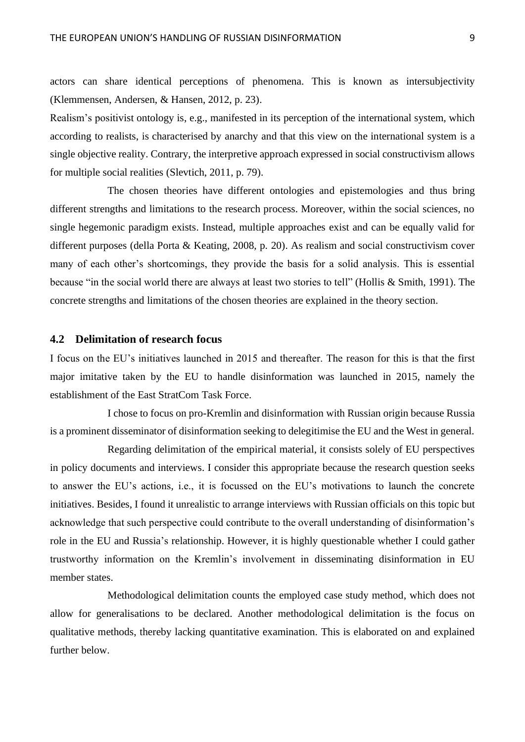actors can share identical perceptions of phenomena. This is known as intersubjectivity (Klemmensen, Andersen, & Hansen, 2012, p. 23).

Realism's positivist ontology is, e.g., manifested in its perception of the international system, which according to realists, is characterised by anarchy and that this view on the international system is a single objective reality. Contrary, the interpretive approach expressed in social constructivism allows for multiple social realities (Slevtich, 2011, p. 79).

The chosen theories have different ontologies and epistemologies and thus bring different strengths and limitations to the research process. Moreover, within the social sciences, no single hegemonic paradigm exists. Instead, multiple approaches exist and can be equally valid for different purposes (della Porta & Keating, 2008, p. 20). As realism and social constructivism cover many of each other's shortcomings, they provide the basis for a solid analysis. This is essential because "in the social world there are always at least two stories to tell" (Hollis & Smith, 1991). The concrete strengths and limitations of the chosen theories are explained in the theory section.

## <span id="page-9-0"></span>**4.2 Delimitation of research focus**

I focus on the EU's initiatives launched in 2015 and thereafter. The reason for this is that the first major imitative taken by the EU to handle disinformation was launched in 2015, namely the establishment of the East StratCom Task Force.

I chose to focus on pro-Kremlin and disinformation with Russian origin because Russia is a prominent disseminator of disinformation seeking to delegitimise the EU and the West in general.

Regarding delimitation of the empirical material, it consists solely of EU perspectives in policy documents and interviews. I consider this appropriate because the research question seeks to answer the EU's actions, i.e., it is focussed on the EU's motivations to launch the concrete initiatives. Besides, I found it unrealistic to arrange interviews with Russian officials on this topic but acknowledge that such perspective could contribute to the overall understanding of disinformation's role in the EU and Russia's relationship. However, it is highly questionable whether I could gather trustworthy information on the Kremlin's involvement in disseminating disinformation in EU member states.

Methodological delimitation counts the employed case study method, which does not allow for generalisations to be declared. Another methodological delimitation is the focus on qualitative methods, thereby lacking quantitative examination. This is elaborated on and explained further below.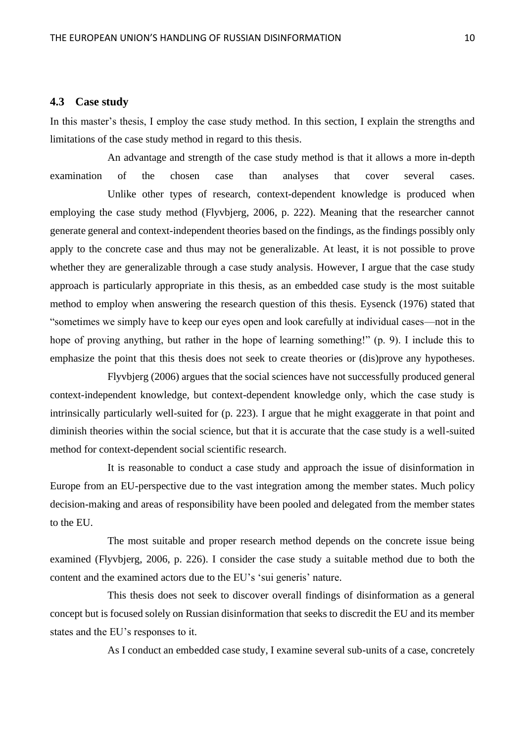# <span id="page-10-0"></span>**4.3 Case study**

In this master's thesis, I employ the case study method. In this section, I explain the strengths and limitations of the case study method in regard to this thesis.

An advantage and strength of the case study method is that it allows a more in-depth examination of the chosen case than analyses that cover several cases. Unlike other types of research, context-dependent knowledge is produced when employing the case study method (Flyvbjerg, 2006, p. 222). Meaning that the researcher cannot generate general and context-independent theories based on the findings, as the findings possibly only apply to the concrete case and thus may not be generalizable. At least, it is not possible to prove whether they are generalizable through a case study analysis. However, I argue that the case study approach is particularly appropriate in this thesis, as an embedded case study is the most suitable method to employ when answering the research question of this thesis. Eysenck (1976) stated that "sometimes we simply have to keep our eyes open and look carefully at individual cases—not in the hope of proving anything, but rather in the hope of learning something!" (p. 9). I include this to emphasize the point that this thesis does not seek to create theories or (dis)prove any hypotheses.

Flyvbjerg (2006) argues that the social sciences have not successfully produced general context-independent knowledge, but context-dependent knowledge only, which the case study is intrinsically particularly well-suited for (p. 223). I argue that he might exaggerate in that point and diminish theories within the social science, but that it is accurate that the case study is a well-suited method for context-dependent social scientific research.

It is reasonable to conduct a case study and approach the issue of disinformation in Europe from an EU-perspective due to the vast integration among the member states. Much policy decision-making and areas of responsibility have been pooled and delegated from the member states to the EU.

The most suitable and proper research method depends on the concrete issue being examined (Flyvbjerg, 2006, p. 226). I consider the case study a suitable method due to both the content and the examined actors due to the EU's 'sui generis' nature.

This thesis does not seek to discover overall findings of disinformation as a general concept but is focused solely on Russian disinformation that seeks to discredit the EU and its member states and the EU's responses to it.

As I conduct an embedded case study, I examine several sub-units of a case, concretely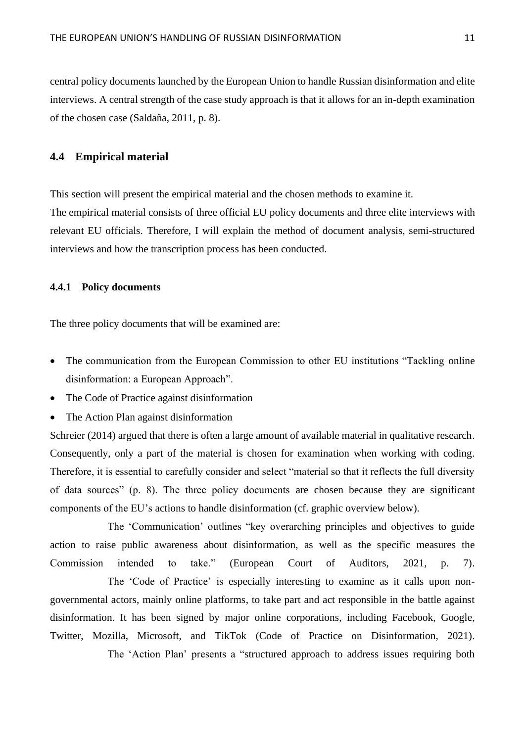central policy documents launched by the European Union to handle Russian disinformation and elite interviews. A central strength of the case study approach is that it allows for an in-depth examination of the chosen case (Saldaña, 2011, p. 8).

# <span id="page-11-0"></span>**4.4 Empirical material**

This section will present the empirical material and the chosen methods to examine it.

The empirical material consists of three official EU policy documents and three elite interviews with relevant EU officials. Therefore, I will explain the method of document analysis, semi-structured interviews and how the transcription process has been conducted.

# <span id="page-11-1"></span>**4.4.1 Policy documents**

The three policy documents that will be examined are:

- The communication from the European Commission to other EU institutions "Tackling online disinformation: a European Approach".
- The Code of Practice against disinformation
- The Action Plan against disinformation

Schreier (2014) argued that there is often a large amount of available material in qualitative research. Consequently, only a part of the material is chosen for examination when working with coding. Therefore, it is essential to carefully consider and select "material so that it reflects the full diversity of data sources" (p. 8). The three policy documents are chosen because they are significant components of the EU's actions to handle disinformation (cf. graphic overview below).

The 'Communication' outlines "key overarching principles and objectives to guide action to raise public awareness about disinformation, as well as the specific measures the Commission intended to take." (European Court of Auditors, 2021, p. 7).

The 'Code of Practice' is especially interesting to examine as it calls upon nongovernmental actors, mainly online platforms, to take part and act responsible in the battle against disinformation. It has been signed by major online corporations, including Facebook, Google, Twitter, Mozilla, Microsoft, and TikTok (Code of Practice on Disinformation, 2021).

The 'Action Plan' presents a "structured approach to address issues requiring both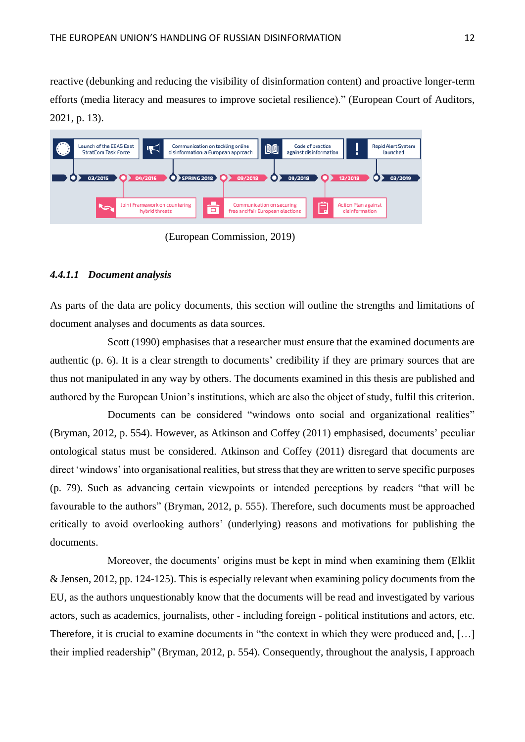reactive (debunking and reducing the visibility of disinformation content) and proactive longer-term efforts (media literacy and measures to improve societal resilience)." (European Court of Auditors, 2021, p. 13).



(European Commission, 2019)

# *4.4.1.1 Document analysis*

As parts of the data are policy documents, this section will outline the strengths and limitations of document analyses and documents as data sources.

Scott (1990) emphasises that a researcher must ensure that the examined documents are authentic (p. 6). It is a clear strength to documents' credibility if they are primary sources that are thus not manipulated in any way by others. The documents examined in this thesis are published and authored by the European Union's institutions, which are also the object of study, fulfil this criterion.

Documents can be considered "windows onto social and organizational realities" (Bryman, 2012, p. 554). However, as Atkinson and Coffey (2011) emphasised, documents' peculiar ontological status must be considered. Atkinson and Coffey (2011) disregard that documents are direct 'windows' into organisational realities, but stress that they are written to serve specific purposes (p. 79). Such as advancing certain viewpoints or intended perceptions by readers "that will be favourable to the authors" (Bryman, 2012, p. 555). Therefore, such documents must be approached critically to avoid overlooking authors' (underlying) reasons and motivations for publishing the documents.

Moreover, the documents' origins must be kept in mind when examining them (Elklit & Jensen, 2012, pp. 124-125). This is especially relevant when examining policy documents from the EU, as the authors unquestionably know that the documents will be read and investigated by various actors, such as academics, journalists, other - including foreign - political institutions and actors, etc. Therefore, it is crucial to examine documents in "the context in which they were produced and, [...] their implied readership" (Bryman, 2012, p. 554). Consequently, throughout the analysis, I approach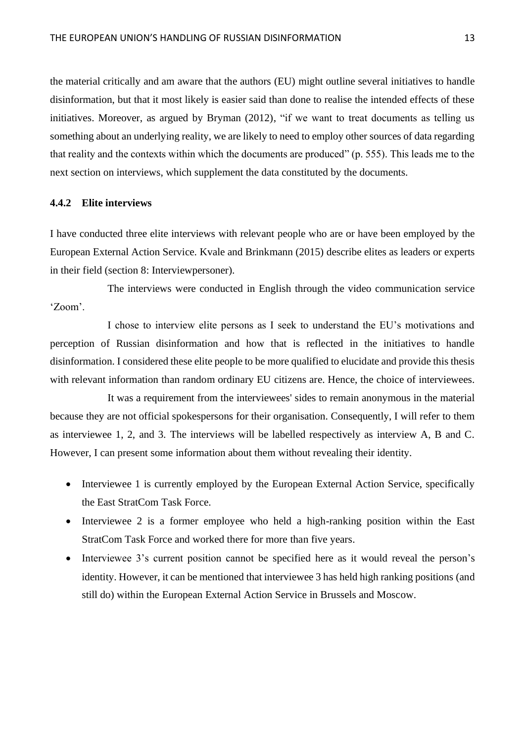the material critically and am aware that the authors (EU) might outline several initiatives to handle disinformation, but that it most likely is easier said than done to realise the intended effects of these initiatives. Moreover, as argued by Bryman (2012), "if we want to treat documents as telling us something about an underlying reality, we are likely to need to employ other sources of data regarding that reality and the contexts within which the documents are produced" (p. 555). This leads me to the next section on interviews, which supplement the data constituted by the documents.

## <span id="page-13-0"></span>**4.4.2 Elite interviews**

I have conducted three elite interviews with relevant people who are or have been employed by the European External Action Service. Kvale and Brinkmann (2015) describe elites as leaders or experts in their field (section 8: Interviewpersoner).

The interviews were conducted in English through the video communication service 'Zoom'.

I chose to interview elite persons as I seek to understand the EU's motivations and perception of Russian disinformation and how that is reflected in the initiatives to handle disinformation. I considered these elite people to be more qualified to elucidate and provide this thesis with relevant information than random ordinary EU citizens are. Hence, the choice of interviewees.

It was a requirement from the interviewees' sides to remain anonymous in the material because they are not official spokespersons for their organisation. Consequently, I will refer to them as interviewee 1, 2, and 3. The interviews will be labelled respectively as interview A, B and C. However, I can present some information about them without revealing their identity.

- Interviewee 1 is currently employed by the European External Action Service, specifically the East StratCom Task Force.
- Interviewee 2 is a former employee who held a high-ranking position within the East StratCom Task Force and worked there for more than five years.
- Interviewee 3's current position cannot be specified here as it would reveal the person's identity. However, it can be mentioned that interviewee 3 has held high ranking positions (and still do) within the European External Action Service in Brussels and Moscow.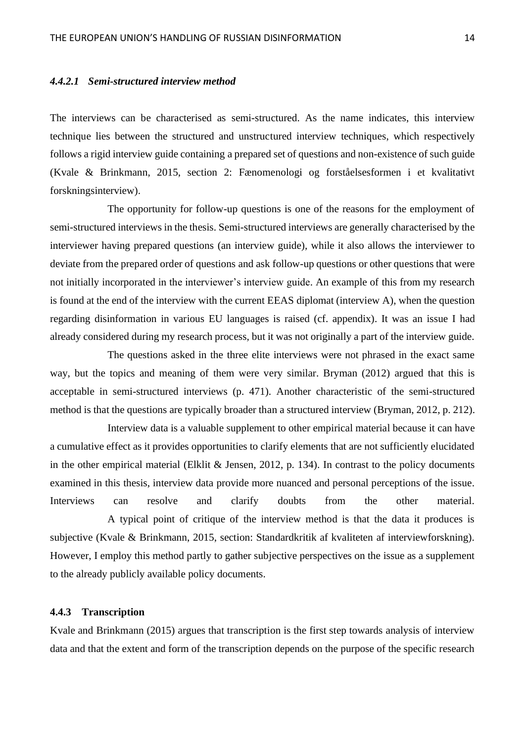#### *4.4.2.1 Semi-structured interview method*

The interviews can be characterised as semi-structured. As the name indicates, this interview technique lies between the structured and unstructured interview techniques, which respectively follows a rigid interview guide containing a prepared set of questions and non-existence of such guide (Kvale & Brinkmann, 2015, section 2: Fænomenologi og forståelsesformen i et kvalitativt forskningsinterview).

The opportunity for follow-up questions is one of the reasons for the employment of semi-structured interviews in the thesis. Semi-structured interviews are generally characterised by the interviewer having prepared questions (an interview guide), while it also allows the interviewer to deviate from the prepared order of questions and ask follow-up questions or other questions that were not initially incorporated in the interviewer's interview guide. An example of this from my research is found at the end of the interview with the current EEAS diplomat (interview A), when the question regarding disinformation in various EU languages is raised (cf. appendix). It was an issue I had already considered during my research process, but it was not originally a part of the interview guide.

The questions asked in the three elite interviews were not phrased in the exact same way, but the topics and meaning of them were very similar. Bryman (2012) argued that this is acceptable in semi-structured interviews (p. 471). Another characteristic of the semi-structured method is that the questions are typically broader than a structured interview (Bryman, 2012, p. 212).

Interview data is a valuable supplement to other empirical material because it can have a cumulative effect as it provides opportunities to clarify elements that are not sufficiently elucidated in the other empirical material (Elklit & Jensen, 2012, p. 134). In contrast to the policy documents examined in this thesis, interview data provide more nuanced and personal perceptions of the issue. Interviews can resolve and clarify doubts from the other material.

A typical point of critique of the interview method is that the data it produces is subjective (Kvale & Brinkmann, 2015, section: Standardkritik af kvaliteten af interviewforskning). However, I employ this method partly to gather subjective perspectives on the issue as a supplement to the already publicly available policy documents.

# <span id="page-14-0"></span>**4.4.3 Transcription**

Kvale and Brinkmann (2015) argues that transcription is the first step towards analysis of interview data and that the extent and form of the transcription depends on the purpose of the specific research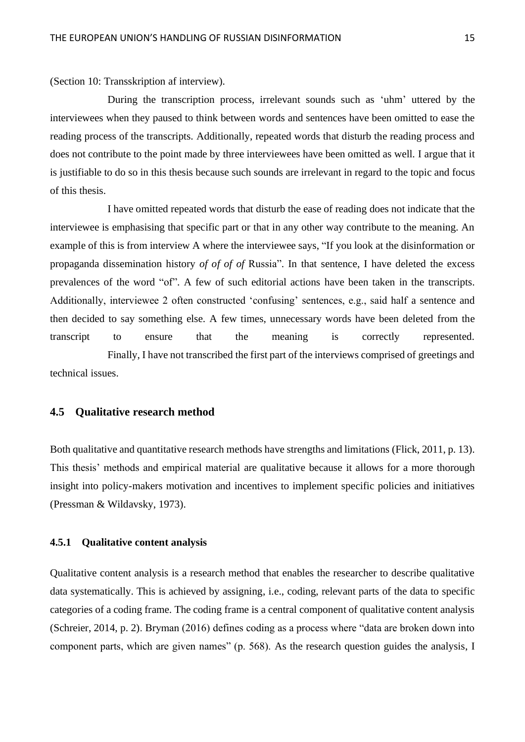(Section 10: Transskription af interview).

During the transcription process, irrelevant sounds such as 'uhm' uttered by the interviewees when they paused to think between words and sentences have been omitted to ease the reading process of the transcripts. Additionally, repeated words that disturb the reading process and does not contribute to the point made by three interviewees have been omitted as well. I argue that it is justifiable to do so in this thesis because such sounds are irrelevant in regard to the topic and focus of this thesis.

I have omitted repeated words that disturb the ease of reading does not indicate that the interviewee is emphasising that specific part or that in any other way contribute to the meaning. An example of this is from interview A where the interviewee says, "If you look at the disinformation or propaganda dissemination history *of of of of* Russia". In that sentence, I have deleted the excess prevalences of the word "of". A few of such editorial actions have been taken in the transcripts. Additionally, interviewee 2 often constructed 'confusing' sentences, e.g., said half a sentence and then decided to say something else. A few times, unnecessary words have been deleted from the transcript to ensure that the meaning is correctly represented. Finally, I have not transcribed the first part of the interviews comprised of greetings and

technical issues.

# <span id="page-15-0"></span>**4.5 Qualitative research method**

Both qualitative and quantitative research methods have strengths and limitations (Flick, 2011, p. 13). This thesis' methods and empirical material are qualitative because it allows for a more thorough insight into policy-makers motivation and incentives to implement specific policies and initiatives (Pressman & Wildavsky, 1973).

## <span id="page-15-1"></span>**4.5.1 Qualitative content analysis**

Qualitative content analysis is a research method that enables the researcher to describe qualitative data systematically. This is achieved by assigning, i.e., coding, relevant parts of the data to specific categories of a coding frame. The coding frame is a central component of qualitative content analysis (Schreier, 2014, p. 2). Bryman (2016) defines coding as a process where "data are broken down into component parts, which are given names" (p. 568). As the research question guides the analysis, I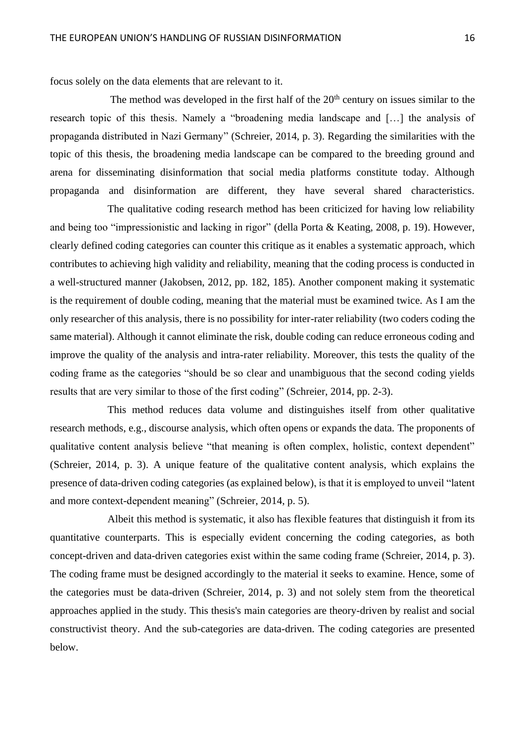focus solely on the data elements that are relevant to it.

The method was developed in the first half of the  $20<sup>th</sup>$  century on issues similar to the research topic of this thesis. Namely a "broadening media landscape and […] the analysis of propaganda distributed in Nazi Germany" (Schreier, 2014, p. 3). Regarding the similarities with the topic of this thesis, the broadening media landscape can be compared to the breeding ground and arena for disseminating disinformation that social media platforms constitute today. Although propaganda and disinformation are different, they have several shared characteristics.

The qualitative coding research method has been criticized for having low reliability and being too "impressionistic and lacking in rigor" (della Porta & Keating, 2008, p. 19). However, clearly defined coding categories can counter this critique as it enables a systematic approach, which contributes to achieving high validity and reliability, meaning that the coding process is conducted in a well-structured manner (Jakobsen, 2012, pp. 182, 185). Another component making it systematic is the requirement of double coding, meaning that the material must be examined twice. As I am the only researcher of this analysis, there is no possibility for inter-rater reliability (two coders coding the same material). Although it cannot eliminate the risk, double coding can reduce erroneous coding and improve the quality of the analysis and intra-rater reliability. Moreover, this tests the quality of the coding frame as the categories "should be so clear and unambiguous that the second coding yields results that are very similar to those of the first coding" (Schreier, 2014, pp. 2-3).

This method reduces data volume and distinguishes itself from other qualitative research methods, e.g., discourse analysis, which often opens or expands the data. The proponents of qualitative content analysis believe "that meaning is often complex, holistic, context dependent" (Schreier, 2014, p. 3). A unique feature of the qualitative content analysis, which explains the presence of data-driven coding categories (as explained below), is that it is employed to unveil "latent and more context-dependent meaning" (Schreier, 2014, p. 5).

Albeit this method is systematic, it also has flexible features that distinguish it from its quantitative counterparts. This is especially evident concerning the coding categories, as both concept-driven and data-driven categories exist within the same coding frame (Schreier, 2014, p. 3). The coding frame must be designed accordingly to the material it seeks to examine. Hence, some of the categories must be data-driven (Schreier, 2014, p. 3) and not solely stem from the theoretical approaches applied in the study. This thesis's main categories are theory-driven by realist and social constructivist theory. And the sub-categories are data-driven. The coding categories are presented below.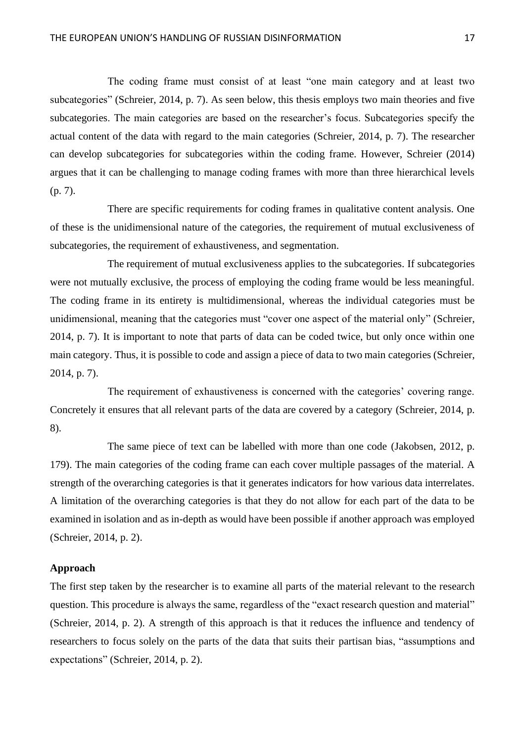The coding frame must consist of at least "one main category and at least two subcategories" (Schreier, 2014, p. 7). As seen below, this thesis employs two main theories and five subcategories. The main categories are based on the researcher's focus. Subcategories specify the actual content of the data with regard to the main categories (Schreier, 2014, p. 7). The researcher can develop subcategories for subcategories within the coding frame. However, Schreier (2014) argues that it can be challenging to manage coding frames with more than three hierarchical levels (p. 7).

There are specific requirements for coding frames in qualitative content analysis. One of these is the unidimensional nature of the categories, the requirement of mutual exclusiveness of subcategories, the requirement of exhaustiveness, and segmentation.

The requirement of mutual exclusiveness applies to the subcategories. If subcategories were not mutually exclusive, the process of employing the coding frame would be less meaningful. The coding frame in its entirety is multidimensional, whereas the individual categories must be unidimensional, meaning that the categories must "cover one aspect of the material only" (Schreier, 2014, p. 7). It is important to note that parts of data can be coded twice, but only once within one main category. Thus, it is possible to code and assign a piece of data to two main categories (Schreier, 2014, p. 7).

The requirement of exhaustiveness is concerned with the categories' covering range. Concretely it ensures that all relevant parts of the data are covered by a category (Schreier, 2014, p. 8).

The same piece of text can be labelled with more than one code (Jakobsen, 2012, p. 179). The main categories of the coding frame can each cover multiple passages of the material. A strength of the overarching categories is that it generates indicators for how various data interrelates. A limitation of the overarching categories is that they do not allow for each part of the data to be examined in isolation and as in-depth as would have been possible if another approach was employed (Schreier, 2014, p. 2).

## **Approach**

The first step taken by the researcher is to examine all parts of the material relevant to the research question. This procedure is always the same, regardless of the "exact research question and material" (Schreier, 2014, p. 2). A strength of this approach is that it reduces the influence and tendency of researchers to focus solely on the parts of the data that suits their partisan bias, "assumptions and expectations" (Schreier, 2014, p. 2).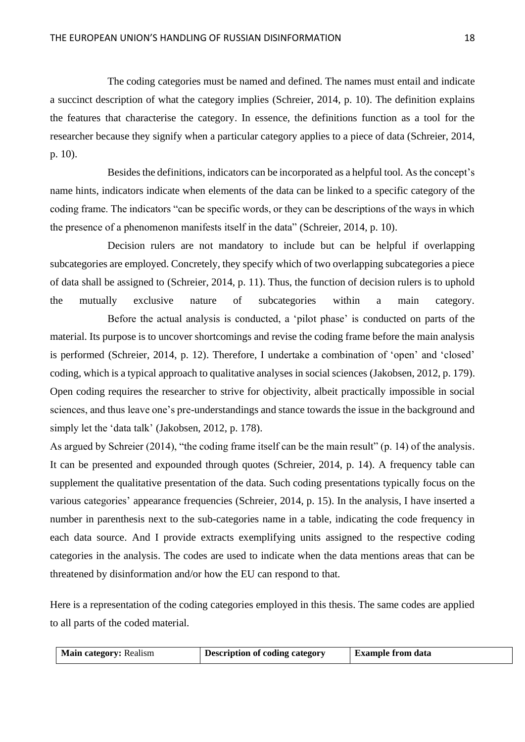The coding categories must be named and defined. The names must entail and indicate a succinct description of what the category implies (Schreier, 2014, p. 10). The definition explains the features that characterise the category. In essence, the definitions function as a tool for the researcher because they signify when a particular category applies to a piece of data (Schreier, 2014, p. 10).

Besides the definitions, indicators can be incorporated as a helpful tool. As the concept's name hints, indicators indicate when elements of the data can be linked to a specific category of the coding frame. The indicators "can be specific words, or they can be descriptions of the ways in which the presence of a phenomenon manifests itself in the data" (Schreier, 2014, p. 10).

Decision rulers are not mandatory to include but can be helpful if overlapping subcategories are employed. Concretely, they specify which of two overlapping subcategories a piece of data shall be assigned to (Schreier, 2014, p. 11). Thus, the function of decision rulers is to uphold the mutually exclusive nature of subcategories within a main category.

Before the actual analysis is conducted, a 'pilot phase' is conducted on parts of the material. Its purpose is to uncover shortcomings and revise the coding frame before the main analysis is performed (Schreier, 2014, p. 12). Therefore, I undertake a combination of 'open' and 'closed' coding, which is a typical approach to qualitative analyses in social sciences (Jakobsen, 2012, p. 179). Open coding requires the researcher to strive for objectivity, albeit practically impossible in social sciences, and thus leave one's pre-understandings and stance towards the issue in the background and simply let the 'data talk' (Jakobsen, 2012, p. 178).

As argued by Schreier (2014), "the coding frame itself can be the main result" (p. 14) of the analysis. It can be presented and expounded through quotes (Schreier, 2014, p. 14). A frequency table can supplement the qualitative presentation of the data. Such coding presentations typically focus on the various categories' appearance frequencies (Schreier, 2014, p. 15). In the analysis, I have inserted a number in parenthesis next to the sub-categories name in a table, indicating the code frequency in each data source. And I provide extracts exemplifying units assigned to the respective coding categories in the analysis. The codes are used to indicate when the data mentions areas that can be threatened by disinformation and/or how the EU can respond to that.

Here is a representation of the coding categories employed in this thesis. The same codes are applied to all parts of the coded material.

| <b>Main category: Realism</b> | Description of coding category | <b>Example from data</b> |
|-------------------------------|--------------------------------|--------------------------|
|                               |                                |                          |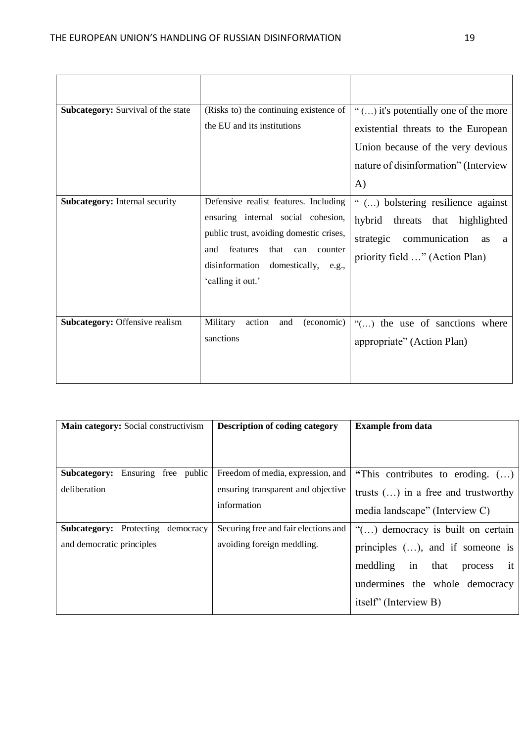| <b>Subcategory:</b> Survival of the state | (Risks to) the continuing existence of<br>the EU and its institutions                                                                                                                                                                | " $()$ it's potentially one of the more<br>existential threats to the European<br>Union because of the very devious<br>nature of disinformation" (Interview<br>$\bf{A}$ |
|-------------------------------------------|--------------------------------------------------------------------------------------------------------------------------------------------------------------------------------------------------------------------------------------|-------------------------------------------------------------------------------------------------------------------------------------------------------------------------|
| <b>Subcategory:</b> Internal security     | Defensive realist features. Including<br>ensuring internal social cohesion,<br>public trust, avoiding domestic crises,<br>features<br>that<br>and<br>can<br>counter<br>disinformation<br>domestically,<br>e.g.,<br>'calling it out.' | " () bolstering resilience against<br>hybrid<br>threats that highlighted<br>strategic<br>communication<br><b>as</b><br>a<br>priority field " (Action Plan)              |
| <b>Subcategory: Offensive realism</b>     | action<br>Military<br>(economic)<br>and<br>sanctions                                                                                                                                                                                 | "() the use of sanctions where<br>appropriate" (Action Plan)                                                                                                            |

| Main category: Social constructivism    | <b>Description of coding category</b> | <b>Example from data</b>                             |
|-----------------------------------------|---------------------------------------|------------------------------------------------------|
|                                         |                                       |                                                      |
|                                         |                                       |                                                      |
| Ensuring free public<br>Subcategory:    | Freedom of media, expression, and     | "This contributes to eroding. $(\ldots)$             |
| deliberation                            | ensuring transparent and objective    | trusts $()$ in a free and trustworthy                |
|                                         | information                           | media landscape" (Interview C)                       |
| Protecting<br>Subcategory:<br>democracy | Securing free and fair elections and  | " $()$ democracy is built on certain                 |
| and democratic principles               | avoiding foreign meddling.            | principles $(\ldots)$ , and if someone is            |
|                                         |                                       | in that<br>meddling<br>$\dot{\mathbf{r}}$<br>process |
|                                         |                                       | undermines the whole democracy                       |
|                                         |                                       | itself" (Interview B)                                |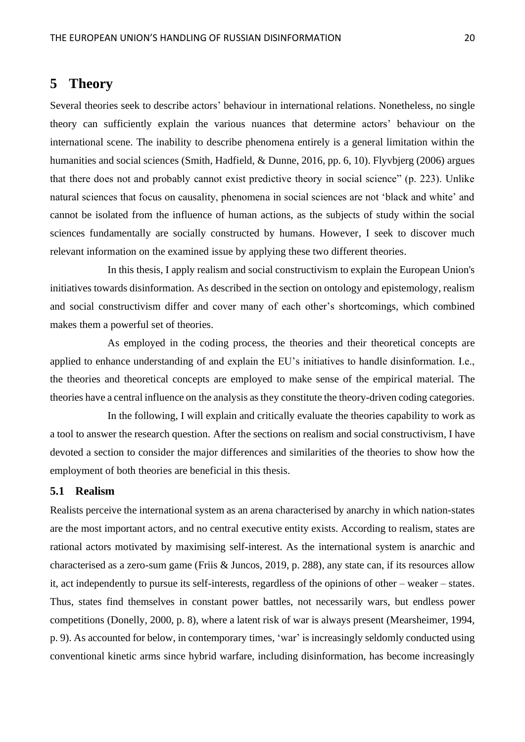# <span id="page-20-0"></span>**5 Theory**

Several theories seek to describe actors' behaviour in international relations. Nonetheless, no single theory can sufficiently explain the various nuances that determine actors' behaviour on the international scene. The inability to describe phenomena entirely is a general limitation within the humanities and social sciences (Smith, Hadfield, & Dunne, 2016, pp. 6, 10). Flyvbjerg (2006) argues that there does not and probably cannot exist predictive theory in social science" (p. 223). Unlike natural sciences that focus on causality, phenomena in social sciences are not 'black and white' and cannot be isolated from the influence of human actions, as the subjects of study within the social sciences fundamentally are socially constructed by humans. However, I seek to discover much relevant information on the examined issue by applying these two different theories.

In this thesis, I apply realism and social constructivism to explain the European Union's initiatives towards disinformation. As described in the section on ontology and epistemology, realism and social constructivism differ and cover many of each other's shortcomings, which combined makes them a powerful set of theories.

As employed in the coding process, the theories and their theoretical concepts are applied to enhance understanding of and explain the EU's initiatives to handle disinformation. I.e., the theories and theoretical concepts are employed to make sense of the empirical material. The theories have a central influence on the analysis as they constitute the theory-driven coding categories.

In the following, I will explain and critically evaluate the theories capability to work as a tool to answer the research question. After the sections on realism and social constructivism, I have devoted a section to consider the major differences and similarities of the theories to show how the employment of both theories are beneficial in this thesis.

# <span id="page-20-1"></span>**5.1 Realism**

Realists perceive the international system as an arena characterised by anarchy in which nation-states are the most important actors, and no central executive entity exists. According to realism, states are rational actors motivated by maximising self-interest. As the international system is anarchic and characterised as a zero-sum game (Friis & Juncos, 2019, p. 288), any state can, if its resources allow it, act independently to pursue its self-interests, regardless of the opinions of other – weaker – states. Thus, states find themselves in constant power battles, not necessarily wars, but endless power competitions (Donelly, 2000, p. 8), where a latent risk of war is always present (Mearsheimer, 1994, p. 9). As accounted for below, in contemporary times, 'war' is increasingly seldomly conducted using conventional kinetic arms since hybrid warfare, including disinformation, has become increasingly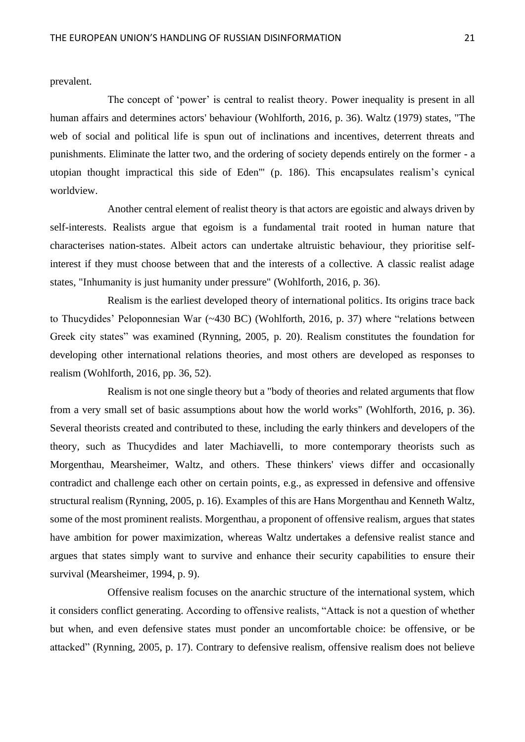prevalent.

The concept of 'power' is central to realist theory. Power inequality is present in all human affairs and determines actors' behaviour (Wohlforth, 2016, p. 36). Waltz (1979) states, "The web of social and political life is spun out of inclinations and incentives, deterrent threats and punishments. Eliminate the latter two, and the ordering of society depends entirely on the former - a utopian thought impractical this side of Eden'" (p. 186). This encapsulates realism's cynical worldview.

Another central element of realist theory is that actors are egoistic and always driven by self-interests. Realists argue that egoism is a fundamental trait rooted in human nature that characterises nation-states. Albeit actors can undertake altruistic behaviour, they prioritise selfinterest if they must choose between that and the interests of a collective. A classic realist adage states, "Inhumanity is just humanity under pressure" (Wohlforth, 2016, p. 36).

Realism is the earliest developed theory of international politics. Its origins trace back to Thucydides' Peloponnesian War (~430 BC) (Wohlforth, 2016, p. 37) where "relations between Greek city states" was examined (Rynning, 2005, p. 20). Realism constitutes the foundation for developing other international relations theories, and most others are developed as responses to realism (Wohlforth, 2016, pp. 36, 52).

Realism is not one single theory but a "body of theories and related arguments that flow from a very small set of basic assumptions about how the world works" (Wohlforth, 2016, p. 36). Several theorists created and contributed to these, including the early thinkers and developers of the theory, such as Thucydides and later Machiavelli, to more contemporary theorists such as Morgenthau, Mearsheimer, Waltz, and others. These thinkers' views differ and occasionally contradict and challenge each other on certain points, e.g., as expressed in defensive and offensive structural realism (Rynning, 2005, p. 16). Examples of this are Hans Morgenthau and Kenneth Waltz, some of the most prominent realists. Morgenthau, a proponent of offensive realism, argues that states have ambition for power maximization, whereas Waltz undertakes a defensive realist stance and argues that states simply want to survive and enhance their security capabilities to ensure their survival (Mearsheimer, 1994, p. 9).

Offensive realism focuses on the anarchic structure of the international system, which it considers conflict generating. According to offensive realists, "Attack is not a question of whether but when, and even defensive states must ponder an uncomfortable choice: be offensive, or be attacked" (Rynning, 2005, p. 17). Contrary to defensive realism, offensive realism does not believe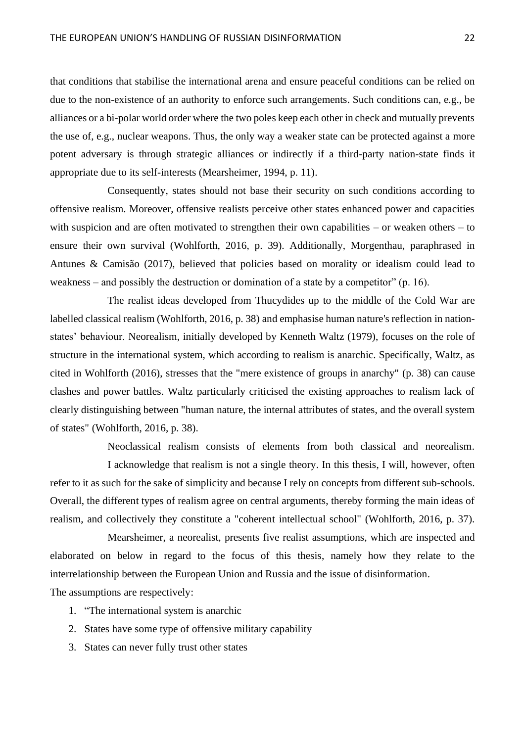that conditions that stabilise the international arena and ensure peaceful conditions can be relied on due to the non-existence of an authority to enforce such arrangements. Such conditions can, e.g., be alliances or a bi-polar world order where the two poles keep each other in check and mutually prevents the use of, e.g., nuclear weapons. Thus, the only way a weaker state can be protected against a more potent adversary is through strategic alliances or indirectly if a third-party nation-state finds it appropriate due to its self-interests (Mearsheimer, 1994, p. 11).

Consequently, states should not base their security on such conditions according to offensive realism. Moreover, offensive realists perceive other states enhanced power and capacities with suspicion and are often motivated to strengthen their own capabilities – or weaken others – to ensure their own survival (Wohlforth, 2016, p. 39). Additionally, Morgenthau, paraphrased in Antunes & Camisão (2017), believed that policies based on morality or idealism could lead to weakness – and possibly the destruction or domination of a state by a competitor"  $(p. 16)$ .

The realist ideas developed from Thucydides up to the middle of the Cold War are labelled classical realism (Wohlforth, 2016, p. 38) and emphasise human nature's reflection in nationstates' behaviour. Neorealism, initially developed by Kenneth Waltz (1979), focuses on the role of structure in the international system, which according to realism is anarchic. Specifically, Waltz, as cited in Wohlforth (2016), stresses that the "mere existence of groups in anarchy" (p. 38) can cause clashes and power battles. Waltz particularly criticised the existing approaches to realism lack of clearly distinguishing between "human nature, the internal attributes of states, and the overall system of states" (Wohlforth, 2016, p. 38).

Neoclassical realism consists of elements from both classical and neorealism. I acknowledge that realism is not a single theory. In this thesis, I will, however, often refer to it as such for the sake of simplicity and because I rely on concepts from different sub-schools. Overall, the different types of realism agree on central arguments, thereby forming the main ideas of realism, and collectively they constitute a "coherent intellectual school" (Wohlforth, 2016, p. 37).

Mearsheimer, a neorealist, presents five realist assumptions, which are inspected and elaborated on below in regard to the focus of this thesis, namely how they relate to the interrelationship between the European Union and Russia and the issue of disinformation.

The assumptions are respectively:

- 1. "The international system is anarchic
- 2. States have some type of offensive military capability
- 3. States can never fully trust other states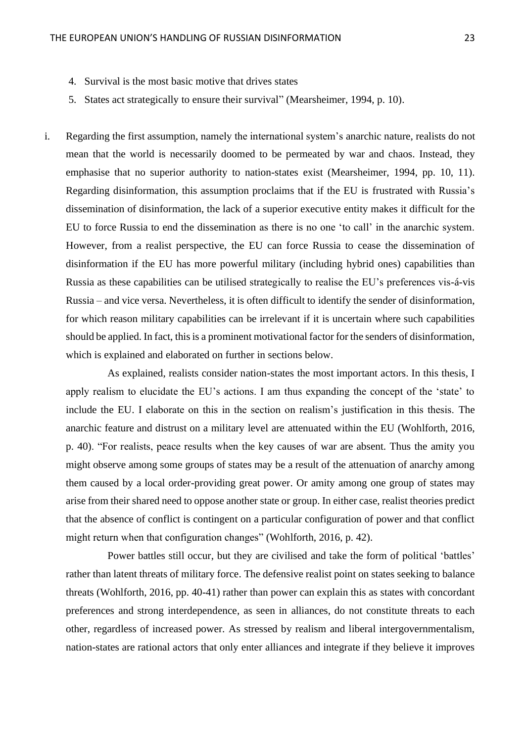- 4. Survival is the most basic motive that drives states
- 5. States act strategically to ensure their survival" (Mearsheimer, 1994, p. 10).
- i. Regarding the first assumption, namely the international system's anarchic nature, realists do not mean that the world is necessarily doomed to be permeated by war and chaos. Instead, they emphasise that no superior authority to nation-states exist (Mearsheimer, 1994, pp. 10, 11). Regarding disinformation, this assumption proclaims that if the EU is frustrated with Russia's dissemination of disinformation, the lack of a superior executive entity makes it difficult for the EU to force Russia to end the dissemination as there is no one 'to call' in the anarchic system. However, from a realist perspective, the EU can force Russia to cease the dissemination of disinformation if the EU has more powerful military (including hybrid ones) capabilities than Russia as these capabilities can be utilised strategically to realise the EU's preferences vis-á-vis Russia – and vice versa. Nevertheless, it is often difficult to identify the sender of disinformation, for which reason military capabilities can be irrelevant if it is uncertain where such capabilities should be applied. In fact, this is a prominent motivational factor for the senders of disinformation, which is explained and elaborated on further in sections below.

As explained, realists consider nation-states the most important actors. In this thesis, I apply realism to elucidate the EU's actions. I am thus expanding the concept of the 'state' to include the EU. I elaborate on this in the section on realism's justification in this thesis. The anarchic feature and distrust on a military level are attenuated within the EU (Wohlforth, 2016, p. 40). "For realists, peace results when the key causes of war are absent. Thus the amity you might observe among some groups of states may be a result of the attenuation of anarchy among them caused by a local order-providing great power. Or amity among one group of states may arise from their shared need to oppose another state or group. In either case, realist theories predict that the absence of conflict is contingent on a particular configuration of power and that conflict might return when that configuration changes" (Wohlforth, 2016, p. 42).

Power battles still occur, but they are civilised and take the form of political 'battles' rather than latent threats of military force. The defensive realist point on states seeking to balance threats (Wohlforth, 2016, pp. 40-41) rather than power can explain this as states with concordant preferences and strong interdependence, as seen in alliances, do not constitute threats to each other, regardless of increased power. As stressed by realism and liberal intergovernmentalism, nation-states are rational actors that only enter alliances and integrate if they believe it improves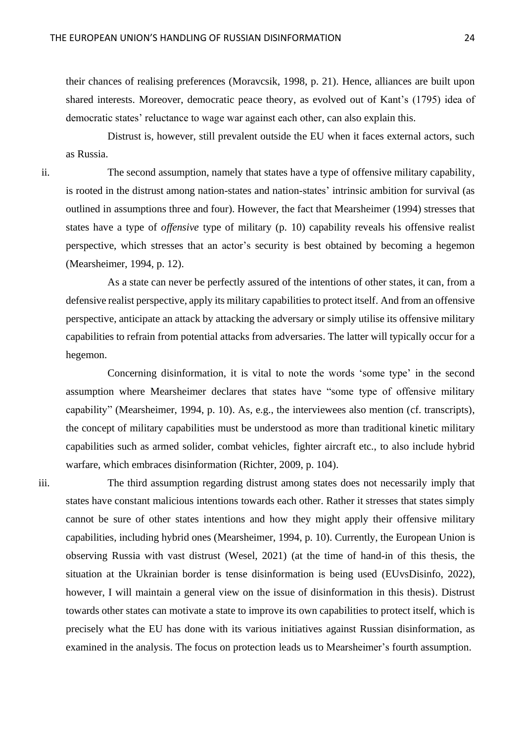their chances of realising preferences (Moravcsik, 1998, p. 21). Hence, alliances are built upon shared interests. Moreover, democratic peace theory, as evolved out of Kant's (1795) idea of democratic states' reluctance to wage war against each other, can also explain this.

Distrust is, however, still prevalent outside the EU when it faces external actors, such as Russia.

ii. The second assumption, namely that states have a type of offensive military capability, is rooted in the distrust among nation-states and nation-states' intrinsic ambition for survival (as outlined in assumptions three and four). However, the fact that Mearsheimer (1994) stresses that states have a type of *offensive* type of military (p. 10) capability reveals his offensive realist perspective, which stresses that an actor's security is best obtained by becoming a hegemon (Mearsheimer, 1994, p. 12).

As a state can never be perfectly assured of the intentions of other states, it can, from a defensive realist perspective, apply its military capabilities to protect itself. And from an offensive perspective, anticipate an attack by attacking the adversary or simply utilise its offensive military capabilities to refrain from potential attacks from adversaries. The latter will typically occur for a hegemon.

Concerning disinformation, it is vital to note the words 'some type' in the second assumption where Mearsheimer declares that states have "some type of offensive military capability" (Mearsheimer, 1994, p. 10). As, e.g., the interviewees also mention (cf. transcripts), the concept of military capabilities must be understood as more than traditional kinetic military capabilities such as armed solider, combat vehicles, fighter aircraft etc., to also include hybrid warfare, which embraces disinformation (Richter, 2009, p. 104).

iii. The third assumption regarding distrust among states does not necessarily imply that states have constant malicious intentions towards each other. Rather it stresses that states simply cannot be sure of other states intentions and how they might apply their offensive military capabilities, including hybrid ones (Mearsheimer, 1994, p. 10). Currently, the European Union is observing Russia with vast distrust (Wesel, 2021) (at the time of hand-in of this thesis, the situation at the Ukrainian border is tense disinformation is being used (EUvsDisinfo, 2022), however, I will maintain a general view on the issue of disinformation in this thesis). Distrust towards other states can motivate a state to improve its own capabilities to protect itself, which is precisely what the EU has done with its various initiatives against Russian disinformation, as examined in the analysis. The focus on protection leads us to Mearsheimer's fourth assumption.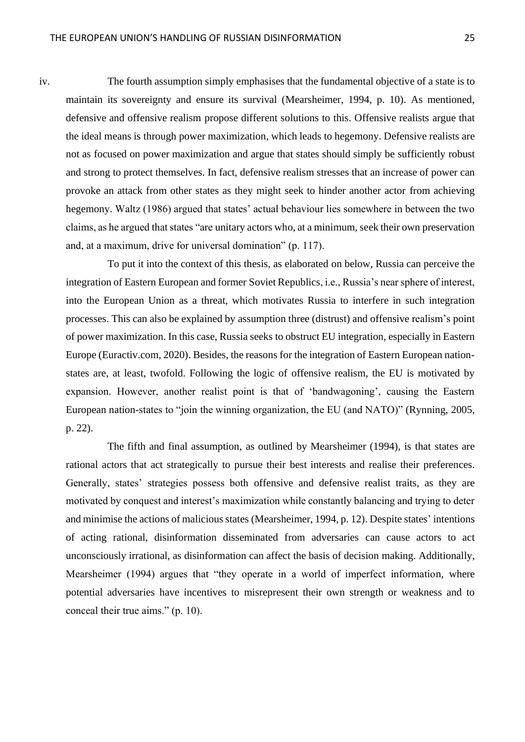iv. The fourth assumption simply emphasises that the fundamental objective of a state is to maintain its sovereignty and ensure its survival (Mearsheimer, 1994, p. 10). As mentioned, defensive and offensive realism propose different solutions to this. Offensive realists argue that the ideal means is through power maximization, which leads to hegemony. Defensive realists are not as focused on power maximization and argue that states should simply be sufficiently robust and strong to protect themselves. In fact, defensive realism stresses that an increase of power can provoke an attack from other states as they might seek to hinder another actor from achieving hegemony. Waltz (1986) argued that states' actual behaviour lies somewhere in between the two claims, as he argued that states "are unitary actors who, at a minimum, seek their own preservation and, at a maximum, drive for universal domination" (p. 117).

To put it into the context of this thesis, as elaborated on below, Russia can perceive the integration of Eastern European and former Soviet Republics, i.e., Russia's near sphere of interest, into the European Union as a threat, which motivates Russia to interfere in such integration processes. This can also be explained by assumption three (distrust) and offensive realism's point of power maximization. In this case, Russia seeks to obstruct EU integration, especially in Eastern Europe (Euractiv.com, 2020). Besides, the reasons for the integration of Eastern European nationstates are, at least, twofold. Following the logic of offensive realism, the EU is motivated by expansion. However, another realist point is that of 'bandwagoning', causing the Eastern European nation-states to "join the winning organization, the EU (and NATO)" (Rynning, 2005, p. 22).

The fifth and final assumption, as outlined by Mearsheimer (1994), is that states are rational actors that act strategically to pursue their best interests and realise their preferences. Generally, states' strategies possess both offensive and defensive realist traits, as they are motivated by conquest and interest's maximization while constantly balancing and trying to deter and minimise the actions of malicious states (Mearsheimer, 1994, p. 12). Despite states' intentions of acting rational, disinformation disseminated from adversaries can cause actors to act unconsciously irrational, as disinformation can affect the basis of decision making. Additionally, Mearsheimer (1994) argues that "they operate in a world of imperfect information, where potential adversaries have incentives to misrepresent their own strength or weakness and to conceal their true aims." (p. 10).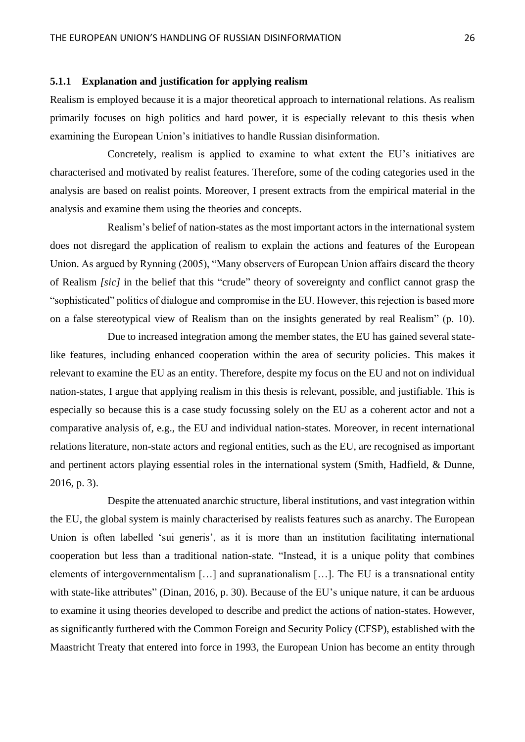## <span id="page-26-0"></span>**5.1.1 Explanation and justification for applying realism**

Realism is employed because it is a major theoretical approach to international relations. As realism primarily focuses on high politics and hard power, it is especially relevant to this thesis when examining the European Union's initiatives to handle Russian disinformation.

Concretely, realism is applied to examine to what extent the EU's initiatives are characterised and motivated by realist features. Therefore, some of the coding categories used in the analysis are based on realist points. Moreover, I present extracts from the empirical material in the analysis and examine them using the theories and concepts.

Realism's belief of nation-states as the most important actors in the international system does not disregard the application of realism to explain the actions and features of the European Union. As argued by Rynning (2005), "Many observers of European Union affairs discard the theory of Realism *[sic]* in the belief that this "crude" theory of sovereignty and conflict cannot grasp the "sophisticated" politics of dialogue and compromise in the EU. However, this rejection is based more on a false stereotypical view of Realism than on the insights generated by real Realism" (p. 10).

Due to increased integration among the member states, the EU has gained several statelike features, including enhanced cooperation within the area of security policies. This makes it relevant to examine the EU as an entity. Therefore, despite my focus on the EU and not on individual nation-states, I argue that applying realism in this thesis is relevant, possible, and justifiable. This is especially so because this is a case study focussing solely on the EU as a coherent actor and not a comparative analysis of, e.g., the EU and individual nation-states. Moreover, in recent international relations literature, non-state actors and regional entities, such as the EU, are recognised as important and pertinent actors playing essential roles in the international system (Smith, Hadfield, & Dunne, 2016, p. 3).

Despite the attenuated anarchic structure, liberal institutions, and vast integration within the EU, the global system is mainly characterised by realists features such as anarchy. The European Union is often labelled 'sui generis', as it is more than an institution facilitating international cooperation but less than a traditional nation-state. "Instead, it is a unique polity that combines elements of intergovernmentalism […] and supranationalism […]. The EU is a transnational entity with state-like attributes" (Dinan, 2016, p. 30). Because of the EU's unique nature, it can be arduous to examine it using theories developed to describe and predict the actions of nation-states. However, as significantly furthered with the Common Foreign and Security Policy (CFSP), established with the Maastricht Treaty that entered into force in 1993, the European Union has become an entity through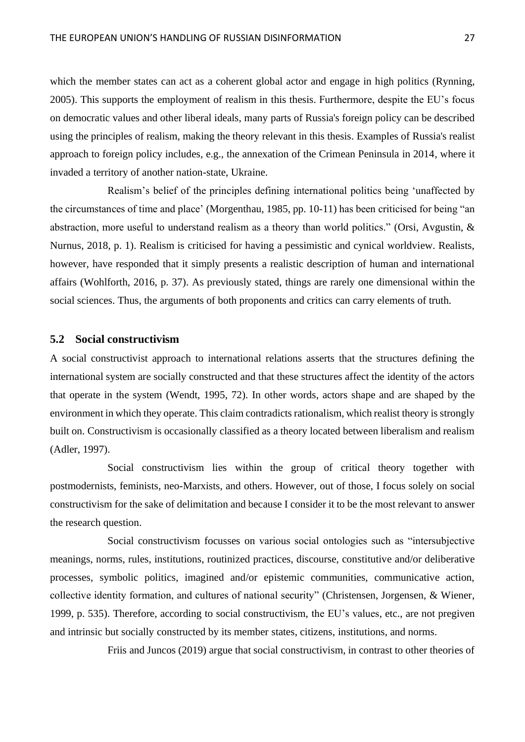which the member states can act as a coherent global actor and engage in high politics (Rynning, 2005). This supports the employment of realism in this thesis. Furthermore, despite the EU's focus on democratic values and other liberal ideals, many parts of Russia's foreign policy can be described using the principles of realism, making the theory relevant in this thesis. Examples of Russia's realist approach to foreign policy includes, e.g., the annexation of the Crimean Peninsula in 2014, where it invaded a territory of another nation-state, Ukraine.

Realism's belief of the principles defining international politics being 'unaffected by the circumstances of time and place' (Morgenthau, 1985, pp. 10-11) has been criticised for being "an abstraction, more useful to understand realism as a theory than world politics." (Orsi, Avgustin, & Nurnus, 2018, p. 1). Realism is criticised for having a pessimistic and cynical worldview. Realists, however, have responded that it simply presents a realistic description of human and international affairs (Wohlforth, 2016, p. 37). As previously stated, things are rarely one dimensional within the social sciences. Thus, the arguments of both proponents and critics can carry elements of truth.

## <span id="page-27-0"></span>**5.2 Social constructivism**

A social constructivist approach to international relations asserts that the structures defining the international system are socially constructed and that these structures affect the identity of the actors that operate in the system (Wendt, 1995, 72). In other words, actors shape and are shaped by the environment in which they operate. This claim contradicts rationalism, which realist theory is strongly built on. Constructivism is occasionally classified as a theory located between liberalism and realism (Adler, 1997).

Social constructivism lies within the group of critical theory together with postmodernists, feminists, neo-Marxists, and others. However, out of those, I focus solely on social constructivism for the sake of delimitation and because I consider it to be the most relevant to answer the research question.

Social constructivism focusses on various social ontologies such as "intersubjective meanings, norms, rules, institutions, routinized practices, discourse, constitutive and/or deliberative processes, symbolic politics, imagined and/or epistemic communities, communicative action, collective identity formation, and cultures of national security" (Christensen, Jorgensen, & Wiener, 1999, p. 535). Therefore, according to social constructivism, the EU's values, etc., are not pregiven and intrinsic but socially constructed by its member states, citizens, institutions, and norms.

Friis and Juncos (2019) argue that social constructivism, in contrast to other theories of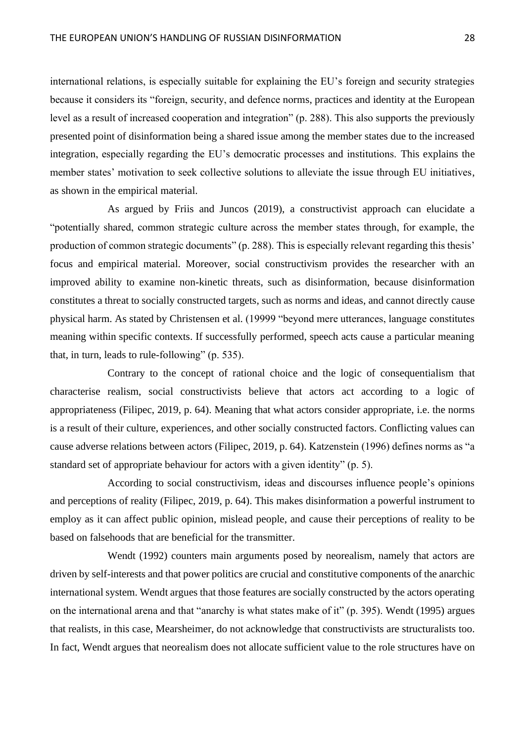international relations, is especially suitable for explaining the EU's foreign and security strategies because it considers its "foreign, security, and defence norms, practices and identity at the European level as a result of increased cooperation and integration" (p. 288). This also supports the previously presented point of disinformation being a shared issue among the member states due to the increased integration, especially regarding the EU's democratic processes and institutions. This explains the member states' motivation to seek collective solutions to alleviate the issue through EU initiatives, as shown in the empirical material.

As argued by Friis and Juncos (2019), a constructivist approach can elucidate a "potentially shared, common strategic culture across the member states through, for example, the production of common strategic documents" (p. 288). This is especially relevant regarding this thesis' focus and empirical material. Moreover, social constructivism provides the researcher with an improved ability to examine non-kinetic threats, such as disinformation, because disinformation constitutes a threat to socially constructed targets, such as norms and ideas, and cannot directly cause physical harm. As stated by Christensen et al. (19999 "beyond mere utterances, language constitutes meaning within specific contexts. If successfully performed, speech acts cause a particular meaning that, in turn, leads to rule-following" (p. 535).

Contrary to the concept of rational choice and the logic of consequentialism that characterise realism, social constructivists believe that actors act according to a logic of appropriateness (Filipec, 2019, p. 64). Meaning that what actors consider appropriate, i.e. the norms is a result of their culture, experiences, and other socially constructed factors. Conflicting values can cause adverse relations between actors (Filipec, 2019, p. 64). Katzenstein (1996) defines norms as "a standard set of appropriate behaviour for actors with a given identity" (p. 5).

According to social constructivism, ideas and discourses influence people's opinions and perceptions of reality (Filipec, 2019, p. 64). This makes disinformation a powerful instrument to employ as it can affect public opinion, mislead people, and cause their perceptions of reality to be based on falsehoods that are beneficial for the transmitter.

Wendt (1992) counters main arguments posed by neorealism, namely that actors are driven by self-interests and that power politics are crucial and constitutive components of the anarchic international system. Wendt argues that those features are socially constructed by the actors operating on the international arena and that "anarchy is what states make of it" (p. 395). Wendt (1995) argues that realists, in this case, Mearsheimer, do not acknowledge that constructivists are structuralists too. In fact, Wendt argues that neorealism does not allocate sufficient value to the role structures have on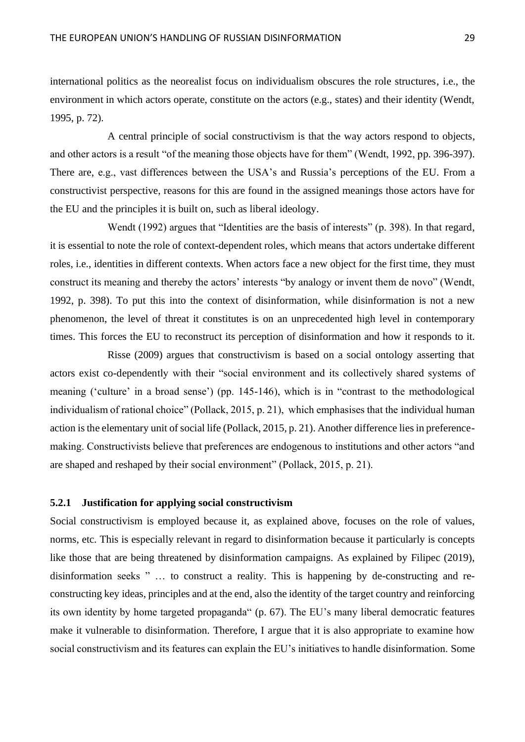international politics as the neorealist focus on individualism obscures the role structures, i.e., the environment in which actors operate, constitute on the actors (e.g., states) and their identity (Wendt, 1995, p. 72).

A central principle of social constructivism is that the way actors respond to objects, and other actors is a result "of the meaning those objects have for them" (Wendt, 1992, pp. 396-397). There are, e.g., vast differences between the USA's and Russia's perceptions of the EU. From a constructivist perspective, reasons for this are found in the assigned meanings those actors have for the EU and the principles it is built on, such as liberal ideology.

Wendt (1992) argues that "Identities are the basis of interests" (p. 398). In that regard, it is essential to note the role of context-dependent roles, which means that actors undertake different roles, i.e., identities in different contexts. When actors face a new object for the first time, they must construct its meaning and thereby the actors' interests "by analogy or invent them de novo" (Wendt, 1992, p. 398). To put this into the context of disinformation, while disinformation is not a new phenomenon, the level of threat it constitutes is on an unprecedented high level in contemporary times. This forces the EU to reconstruct its perception of disinformation and how it responds to it.

Risse (2009) argues that constructivism is based on a social ontology asserting that actors exist co-dependently with their "social environment and its collectively shared systems of meaning ('culture' in a broad sense') (pp. 145-146), which is in "contrast to the methodological individualism of rational choice" (Pollack, 2015, p. 21), which emphasises that the individual human action is the elementary unit of social life (Pollack, 2015, p. 21). Another difference lies in preferencemaking. Constructivists believe that preferences are endogenous to institutions and other actors "and are shaped and reshaped by their social environment" (Pollack, 2015, p. 21).

#### <span id="page-29-0"></span>**5.2.1 Justification for applying social constructivism**

Social constructivism is employed because it, as explained above, focuses on the role of values, norms, etc. This is especially relevant in regard to disinformation because it particularly is concepts like those that are being threatened by disinformation campaigns. As explained by Filipec (2019), disinformation seeks " … to construct a reality. This is happening by de-constructing and reconstructing key ideas, principles and at the end, also the identity of the target country and reinforcing its own identity by home targeted propaganda" (p. 67). The EU's many liberal democratic features make it vulnerable to disinformation. Therefore, I argue that it is also appropriate to examine how social constructivism and its features can explain the EU's initiatives to handle disinformation. Some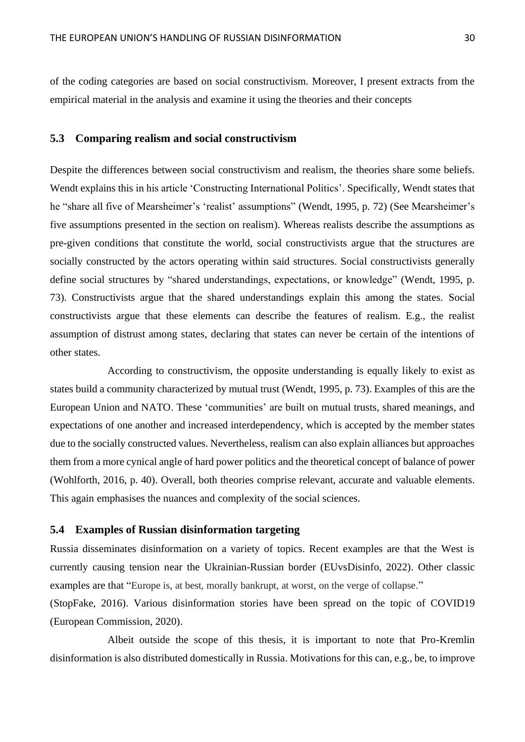of the coding categories are based on social constructivism. Moreover, I present extracts from the empirical material in the analysis and examine it using the theories and their concepts

#### <span id="page-30-0"></span>**5.3 Comparing realism and social constructivism**

Despite the differences between social constructivism and realism, the theories share some beliefs. Wendt explains this in his article 'Constructing International Politics'. Specifically, Wendt states that he "share all five of Mearsheimer's 'realist' assumptions" (Wendt, 1995, p. 72) (See Mearsheimer's five assumptions presented in the section on realism). Whereas realists describe the assumptions as pre-given conditions that constitute the world, social constructivists argue that the structures are socially constructed by the actors operating within said structures. Social constructivists generally define social structures by "shared understandings, expectations, or knowledge" (Wendt, 1995, p. 73). Constructivists argue that the shared understandings explain this among the states. Social constructivists argue that these elements can describe the features of realism. E.g., the realist assumption of distrust among states, declaring that states can never be certain of the intentions of other states.

According to constructivism, the opposite understanding is equally likely to exist as states build a community characterized by mutual trust (Wendt, 1995, p. 73). Examples of this are the European Union and NATO. These 'communities' are built on mutual trusts, shared meanings, and expectations of one another and increased interdependency, which is accepted by the member states due to the socially constructed values. Nevertheless, realism can also explain alliances but approaches them from a more cynical angle of hard power politics and the theoretical concept of balance of power (Wohlforth, 2016, p. 40). Overall, both theories comprise relevant, accurate and valuable elements. This again emphasises the nuances and complexity of the social sciences.

### <span id="page-30-1"></span>**5.4 Examples of Russian disinformation targeting**

Russia disseminates disinformation on a variety of topics. Recent examples are that the West is currently causing tension near the Ukrainian-Russian border (EUvsDisinfo, 2022). Other classic examples are that "Europe is, at best, morally bankrupt, at worst, on the verge of collapse."

(StopFake, 2016). Various disinformation stories have been spread on the topic of COVID19 (European Commission, 2020).

Albeit outside the scope of this thesis, it is important to note that Pro-Kremlin disinformation is also distributed domestically in Russia. Motivations for this can, e.g., be, to improve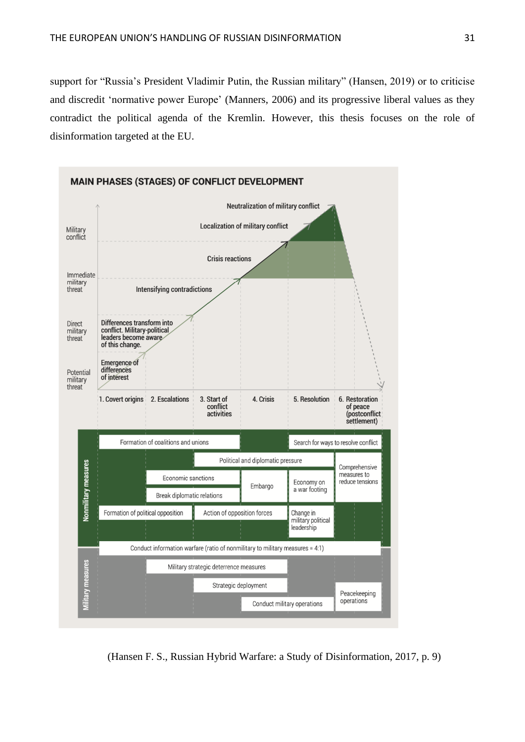support for "Russia's President Vladimir Putin, the Russian military" (Hansen, 2019) or to criticise and discredit 'normative power Europe' (Manners, 2006) and its progressive liberal values as they contradict the political agenda of the Kremlin. However, this thesis focuses on the role of disinformation targeted at the EU.



(Hansen F. S., Russian Hybrid Warfare: a Study of Disinformation, 2017, p. 9)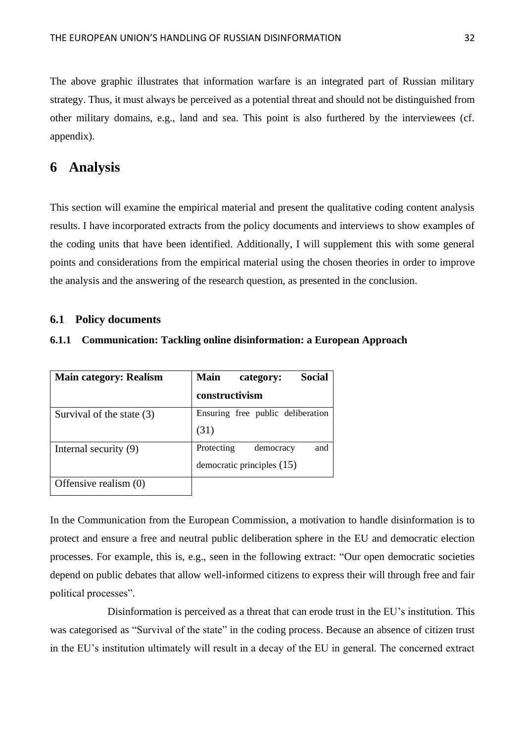The above graphic illustrates that information warfare is an integrated part of Russian military strategy. Thus, it must always be perceived as a potential threat and should not be distinguished from other military domains, e.g., land and sea. This point is also furthered by the interviewees (cf. appendix).

# <span id="page-32-0"></span>**6 Analysis**

This section will examine the empirical material and present the qualitative coding content analysis results. I have incorporated extracts from the policy documents and interviews to show examples of the coding units that have been identified. Additionally, I will supplement this with some general points and considerations from the empirical material using the chosen theories in order to improve the analysis and the answering of the research question, as presented in the conclusion.

# <span id="page-32-1"></span>**6.1 Policy documents**

# <span id="page-32-2"></span>**6.1.1 Communication: Tackling online disinformation: a European Approach**

| <b>Main category: Realism</b> | <b>Main</b><br>Social<br>category: |
|-------------------------------|------------------------------------|
|                               | constructivism                     |
| Survival of the state $(3)$   | Ensuring free public deliberation  |
|                               | (31)                               |
| Internal security (9)         | and<br>Protecting<br>democracy     |
|                               | democratic principles $(15)$       |
| Offensive realism (0)         |                                    |

In the Communication from the European Commission, a motivation to handle disinformation is to protect and ensure a free and neutral public deliberation sphere in the EU and democratic election processes. For example, this is, e.g., seen in the following extract: "Our open democratic societies depend on public debates that allow well-informed citizens to express their will through free and fair political processes".

Disinformation is perceived as a threat that can erode trust in the EU's institution. This was categorised as "Survival of the state" in the coding process. Because an absence of citizen trust in the EU's institution ultimately will result in a decay of the EU in general. The concerned extract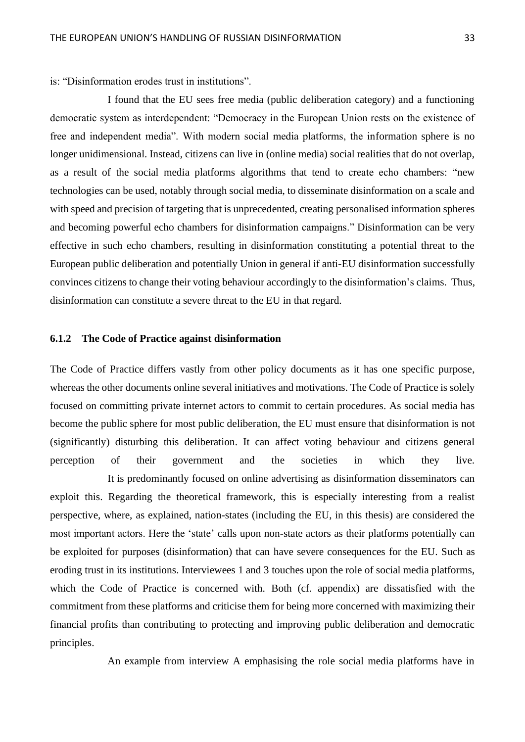is: "Disinformation erodes trust in institutions".

I found that the EU sees free media (public deliberation category) and a functioning democratic system as interdependent: "Democracy in the European Union rests on the existence of free and independent media". With modern social media platforms, the information sphere is no longer unidimensional. Instead, citizens can live in (online media) social realities that do not overlap, as a result of the social media platforms algorithms that tend to create echo chambers: "new technologies can be used, notably through social media, to disseminate disinformation on a scale and with speed and precision of targeting that is unprecedented, creating personalised information spheres and becoming powerful echo chambers for disinformation campaigns." Disinformation can be very effective in such echo chambers, resulting in disinformation constituting a potential threat to the European public deliberation and potentially Union in general if anti-EU disinformation successfully convinces citizens to change their voting behaviour accordingly to the disinformation's claims. Thus, disinformation can constitute a severe threat to the EU in that regard.

## <span id="page-33-0"></span>**6.1.2 The Code of Practice against disinformation**

The Code of Practice differs vastly from other policy documents as it has one specific purpose, whereas the other documents online several initiatives and motivations. The Code of Practice is solely focused on committing private internet actors to commit to certain procedures. As social media has become the public sphere for most public deliberation, the EU must ensure that disinformation is not (significantly) disturbing this deliberation. It can affect voting behaviour and citizens general perception of their government and the societies in which they live.

It is predominantly focused on online advertising as disinformation disseminators can exploit this. Regarding the theoretical framework, this is especially interesting from a realist perspective, where, as explained, nation-states (including the EU, in this thesis) are considered the most important actors. Here the 'state' calls upon non-state actors as their platforms potentially can be exploited for purposes (disinformation) that can have severe consequences for the EU. Such as eroding trust in its institutions. Interviewees 1 and 3 touches upon the role of social media platforms, which the Code of Practice is concerned with. Both (cf. appendix) are dissatisfied with the commitment from these platforms and criticise them for being more concerned with maximizing their financial profits than contributing to protecting and improving public deliberation and democratic principles.

An example from interview A emphasising the role social media platforms have in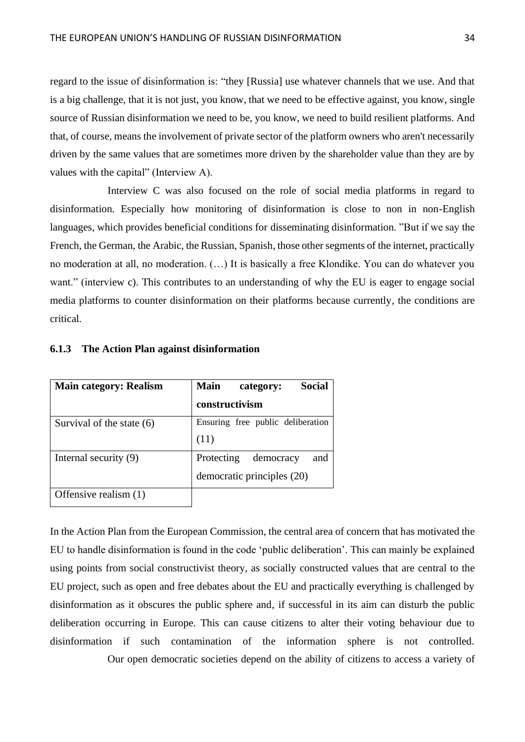regard to the issue of disinformation is: "they [Russia] use whatever channels that we use. And that is a big challenge, that it is not just, you know, that we need to be effective against, you know, single source of Russian disinformation we need to be, you know, we need to build resilient platforms. And that, of course, means the involvement of private sector of the platform owners who aren't necessarily driven by the same values that are sometimes more driven by the shareholder value than they are by values with the capital" (Interview A).

Interview C was also focused on the role of social media platforms in regard to disinformation. Especially how monitoring of disinformation is close to non in non-English languages, which provides beneficial conditions for disseminating disinformation. "But if we say the French, the German, the Arabic, the Russian, Spanish, those other segments of the internet, practically no moderation at all, no moderation. (…) It is basically a free Klondike. You can do whatever you want." (interview c). This contributes to an understanding of why the EU is eager to engage social media platforms to counter disinformation on their platforms because currently, the conditions are critical.

| <b>Main category: Realism</b> | Social<br><b>Main</b><br>category: |
|-------------------------------|------------------------------------|
|                               | constructivism                     |
| Survival of the state (6)     | Ensuring free public deliberation  |
|                               | (11)                               |
| Internal security (9)         | Protecting<br>democracy<br>and     |
|                               | democratic principles (20)         |
| Offensive realism (1)         |                                    |

#### <span id="page-34-0"></span>**6.1.3 The Action Plan against disinformation**

In the Action Plan from the European Commission, the central area of concern that has motivated the EU to handle disinformation is found in the code 'public deliberation'. This can mainly be explained using points from social constructivist theory, as socially constructed values that are central to the EU project, such as open and free debates about the EU and practically everything is challenged by disinformation as it obscures the public sphere and, if successful in its aim can disturb the public deliberation occurring in Europe. This can cause citizens to alter their voting behaviour due to disinformation if such contamination of the information sphere is not controlled.

Our open democratic societies depend on the ability of citizens to access a variety of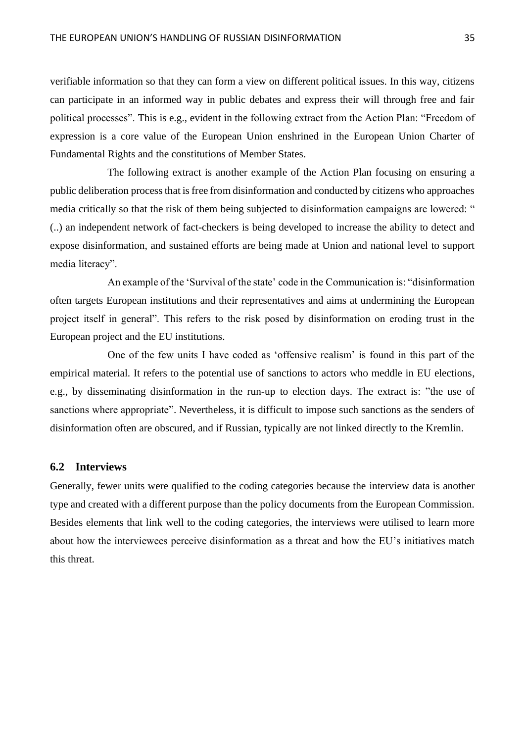verifiable information so that they can form a view on different political issues. In this way, citizens can participate in an informed way in public debates and express their will through free and fair political processes". This is e.g., evident in the following extract from the Action Plan: "Freedom of expression is a core value of the European Union enshrined in the European Union Charter of Fundamental Rights and the constitutions of Member States.

The following extract is another example of the Action Plan focusing on ensuring a public deliberation process that is free from disinformation and conducted by citizens who approaches media critically so that the risk of them being subjected to disinformation campaigns are lowered: " (..) an independent network of fact-checkers is being developed to increase the ability to detect and expose disinformation, and sustained efforts are being made at Union and national level to support media literacy".

An example of the 'Survival of the state' code in the Communication is: "disinformation often targets European institutions and their representatives and aims at undermining the European project itself in general". This refers to the risk posed by disinformation on eroding trust in the European project and the EU institutions.

One of the few units I have coded as 'offensive realism' is found in this part of the empirical material. It refers to the potential use of sanctions to actors who meddle in EU elections, e.g., by disseminating disinformation in the run-up to election days. The extract is: "the use of sanctions where appropriate". Nevertheless, it is difficult to impose such sanctions as the senders of disinformation often are obscured, and if Russian, typically are not linked directly to the Kremlin.

## <span id="page-35-0"></span>**6.2 Interviews**

Generally, fewer units were qualified to the coding categories because the interview data is another type and created with a different purpose than the policy documents from the European Commission. Besides elements that link well to the coding categories, the interviews were utilised to learn more about how the interviewees perceive disinformation as a threat and how the EU's initiatives match this threat.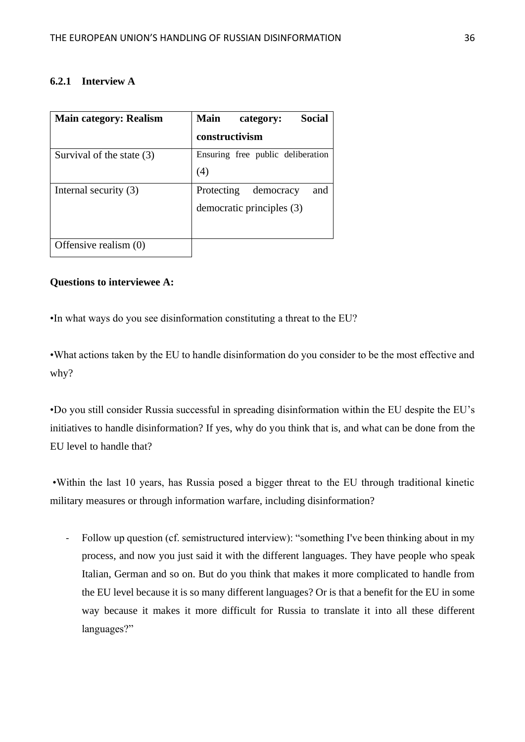# <span id="page-36-0"></span>**6.2.1 Interview A**

| <b>Main category: Realism</b> | <b>Social</b><br><b>Main</b><br>category: |
|-------------------------------|-------------------------------------------|
|                               | constructivism                            |
| Survival of the state (3)     | Ensuring free public deliberation         |
|                               | (4)                                       |
| Internal security (3)         | Protecting<br>democracy<br>and            |
|                               | democratic principles (3)                 |
|                               |                                           |
| Offensive realism (0)         |                                           |

# **Questions to interviewee A:**

•In what ways do you see disinformation constituting a threat to the EU?

•What actions taken by the EU to handle disinformation do you consider to be the most effective and why?

•Do you still consider Russia successful in spreading disinformation within the EU despite the EU's initiatives to handle disinformation? If yes, why do you think that is, and what can be done from the EU level to handle that?

•Within the last 10 years, has Russia posed a bigger threat to the EU through traditional kinetic military measures or through information warfare, including disinformation?

- Follow up question (cf. semistructured interview): "something I've been thinking about in my process, and now you just said it with the different languages. They have people who speak Italian, German and so on. But do you think that makes it more complicated to handle from the EU level because it is so many different languages? Or is that a benefit for the EU in some way because it makes it more difficult for Russia to translate it into all these different languages?"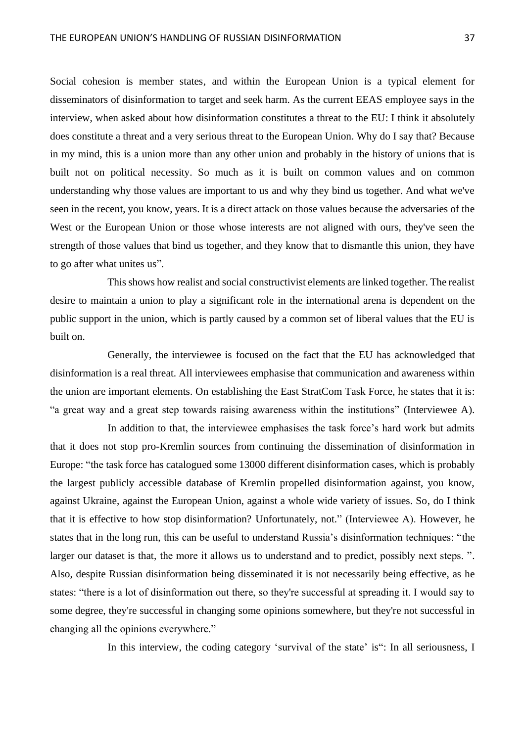Social cohesion is member states, and within the European Union is a typical element for disseminators of disinformation to target and seek harm. As the current EEAS employee says in the interview, when asked about how disinformation constitutes a threat to the EU: I think it absolutely does constitute a threat and a very serious threat to the European Union. Why do I say that? Because in my mind, this is a union more than any other union and probably in the history of unions that is built not on political necessity. So much as it is built on common values and on common understanding why those values are important to us and why they bind us together. And what we've seen in the recent, you know, years. It is a direct attack on those values because the adversaries of the West or the European Union or those whose interests are not aligned with ours, they've seen the strength of those values that bind us together, and they know that to dismantle this union, they have to go after what unites us".

This shows how realist and social constructivist elements are linked together. The realist desire to maintain a union to play a significant role in the international arena is dependent on the public support in the union, which is partly caused by a common set of liberal values that the EU is built on.

Generally, the interviewee is focused on the fact that the EU has acknowledged that disinformation is a real threat. All interviewees emphasise that communication and awareness within the union are important elements. On establishing the East StratCom Task Force, he states that it is: "a great way and a great step towards raising awareness within the institutions" (Interviewee A).

In addition to that, the interviewee emphasises the task force's hard work but admits that it does not stop pro-Kremlin sources from continuing the dissemination of disinformation in Europe: "the task force has catalogued some 13000 different disinformation cases, which is probably the largest publicly accessible database of Kremlin propelled disinformation against, you know, against Ukraine, against the European Union, against a whole wide variety of issues. So, do I think that it is effective to how stop disinformation? Unfortunately, not." (Interviewee A). However, he states that in the long run, this can be useful to understand Russia's disinformation techniques: "the larger our dataset is that, the more it allows us to understand and to predict, possibly next steps.". Also, despite Russian disinformation being disseminated it is not necessarily being effective, as he states: "there is a lot of disinformation out there, so they're successful at spreading it. I would say to some degree, they're successful in changing some opinions somewhere, but they're not successful in changing all the opinions everywhere."

In this interview, the coding category 'survival of the state' is": In all seriousness, I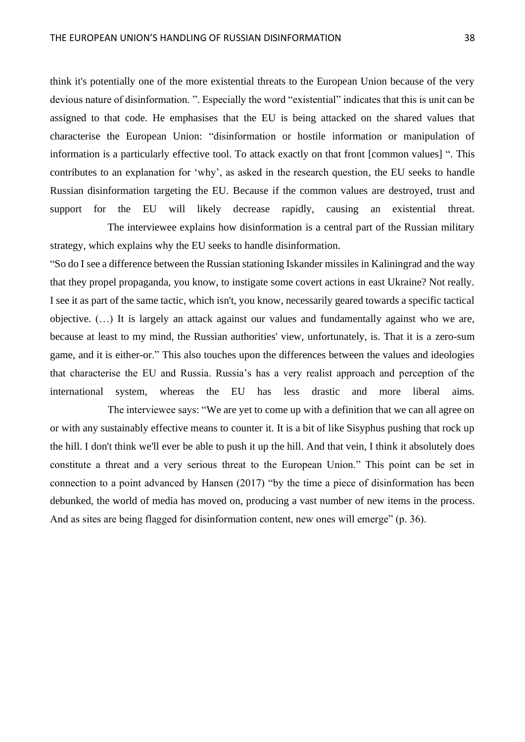think it's potentially one of the more existential threats to the European Union because of the very devious nature of disinformation. ". Especially the word "existential" indicates that this is unit can be assigned to that code. He emphasises that the EU is being attacked on the shared values that characterise the European Union: "disinformation or hostile information or manipulation of information is a particularly effective tool. To attack exactly on that front [common values] ". This contributes to an explanation for 'why', as asked in the research question, the EU seeks to handle Russian disinformation targeting the EU. Because if the common values are destroyed, trust and support for the EU will likely decrease rapidly, causing an existential threat.

The interviewee explains how disinformation is a central part of the Russian military strategy, which explains why the EU seeks to handle disinformation.

"So do I see a difference between the Russian stationing Iskander missiles in Kaliningrad and the way that they propel propaganda, you know, to instigate some covert actions in east Ukraine? Not really. I see it as part of the same tactic, which isn't, you know, necessarily geared towards a specific tactical objective. (…) It is largely an attack against our values and fundamentally against who we are, because at least to my mind, the Russian authorities' view, unfortunately, is. That it is a zero-sum game, and it is either-or." This also touches upon the differences between the values and ideologies that characterise the EU and Russia. Russia's has a very realist approach and perception of the international system, whereas the EU has less drastic and more liberal aims.

The interviewee says: "We are yet to come up with a definition that we can all agree on or with any sustainably effective means to counter it. It is a bit of like Sisyphus pushing that rock up the hill. I don't think we'll ever be able to push it up the hill. And that vein, I think it absolutely does constitute a threat and a very serious threat to the European Union." This point can be set in connection to a point advanced by Hansen (2017) "by the time a piece of disinformation has been debunked, the world of media has moved on, producing a vast number of new items in the process. And as sites are being flagged for disinformation content, new ones will emerge" (p. 36).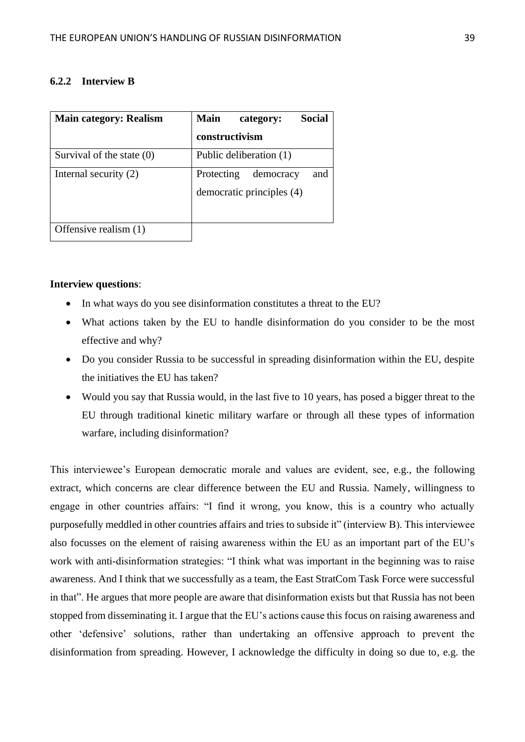## <span id="page-39-0"></span>**6.2.2 Interview B**

| <b>Main category: Realism</b> | <b>Main</b><br>Social<br>category: |
|-------------------------------|------------------------------------|
|                               | constructivism                     |
| Survival of the state $(0)$   | Public deliberation (1)            |
| Internal security (2)         | and<br>Protecting<br>democracy     |
|                               | democratic principles (4)          |
|                               |                                    |
| Offensive realism (1)         |                                    |

## **Interview questions**:

- In what ways do you see disinformation constitutes a threat to the EU?
- What actions taken by the EU to handle disinformation do you consider to be the most effective and why?
- Do you consider Russia to be successful in spreading disinformation within the EU, despite the initiatives the EU has taken?
- Would you say that Russia would, in the last five to 10 years, has posed a bigger threat to the EU through traditional kinetic military warfare or through all these types of information warfare, including disinformation?

This interviewee's European democratic morale and values are evident, see, e.g., the following extract, which concerns are clear difference between the EU and Russia. Namely, willingness to engage in other countries affairs: "I find it wrong, you know, this is a country who actually purposefully meddled in other countries affairs and tries to subside it" (interview B). This interviewee also focusses on the element of raising awareness within the EU as an important part of the EU's work with anti-disinformation strategies: "I think what was important in the beginning was to raise awareness. And I think that we successfully as a team, the East StratCom Task Force were successful in that". He argues that more people are aware that disinformation exists but that Russia has not been stopped from disseminating it. I argue that the EU's actions cause this focus on raising awareness and other 'defensive' solutions, rather than undertaking an offensive approach to prevent the disinformation from spreading. However, I acknowledge the difficulty in doing so due to, e.g. the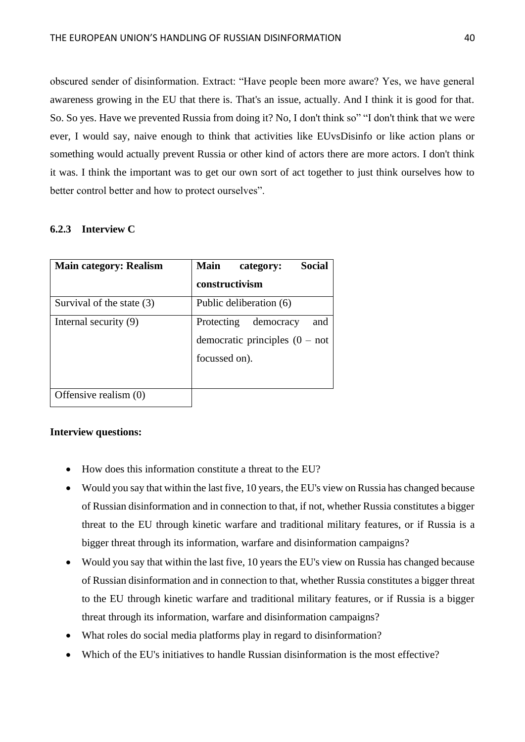obscured sender of disinformation. Extract: "Have people been more aware? Yes, we have general awareness growing in the EU that there is. That's an issue, actually. And I think it is good for that. So. So yes. Have we prevented Russia from doing it? No, I don't think so" "I don't think that we were ever, I would say, naive enough to think that activities like EUvsDisinfo or like action plans or something would actually prevent Russia or other kind of actors there are more actors. I don't think it was. I think the important was to get our own sort of act together to just think ourselves how to better control better and how to protect ourselves".

# <span id="page-40-0"></span>**6.2.3 Interview C**

| <b>Main category: Realism</b> | <b>Social</b><br>Main<br>category:                                                   |
|-------------------------------|--------------------------------------------------------------------------------------|
|                               | constructivism                                                                       |
| Survival of the state (3)     | Public deliberation (6)                                                              |
| Internal security (9)         | and<br>democracy<br>Protecting<br>democratic principles $(0 - not)$<br>focussed on). |
| Offensive realism (0)         |                                                                                      |

# **Interview questions:**

- How does this information constitute a threat to the EU?
- Would you say that within the last five, 10 years, the EU's view on Russia has changed because of Russian disinformation and in connection to that, if not, whether Russia constitutes a bigger threat to the EU through kinetic warfare and traditional military features, or if Russia is a bigger threat through its information, warfare and disinformation campaigns?
- Would you say that within the last five, 10 years the EU's view on Russia has changed because of Russian disinformation and in connection to that, whether Russia constitutes a bigger threat to the EU through kinetic warfare and traditional military features, or if Russia is a bigger threat through its information, warfare and disinformation campaigns?
- What roles do social media platforms play in regard to disinformation?
- Which of the EU's initiatives to handle Russian disinformation is the most effective?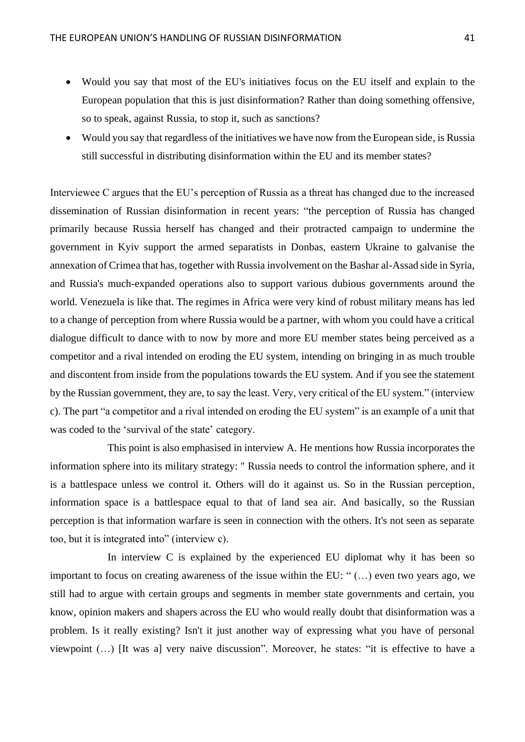- Would you say that most of the EU's initiatives focus on the EU itself and explain to the European population that this is just disinformation? Rather than doing something offensive, so to speak, against Russia, to stop it, such as sanctions?
- Would you say that regardless of the initiatives we have now from the European side, is Russia still successful in distributing disinformation within the EU and its member states?

Interviewee C argues that the EU's perception of Russia as a threat has changed due to the increased dissemination of Russian disinformation in recent years: "the perception of Russia has changed primarily because Russia herself has changed and their protracted campaign to undermine the government in Kyiv support the armed separatists in Donbas, eastern Ukraine to galvanise the annexation of Crimea that has, together with Russia involvement on the Bashar al-Assad side in Syria, and Russia's much-expanded operations also to support various dubious governments around the world. Venezuela is like that. The regimes in Africa were very kind of robust military means has led to a change of perception from where Russia would be a partner, with whom you could have a critical dialogue difficult to dance with to now by more and more EU member states being perceived as a competitor and a rival intended on eroding the EU system, intending on bringing in as much trouble and discontent from inside from the populations towards the EU system. And if you see the statement by the Russian government, they are, to say the least. Very, very critical of the EU system." (interview c). The part "a competitor and a rival intended on eroding the EU system" is an example of a unit that was coded to the 'survival of the state' category.

This point is also emphasised in interview A. He mentions how Russia incorporates the information sphere into its military strategy: " Russia needs to control the information sphere, and it is a battlespace unless we control it. Others will do it against us. So in the Russian perception, information space is a battlespace equal to that of land sea air. And basically, so the Russian perception is that information warfare is seen in connection with the others. It's not seen as separate too, but it is integrated into" (interview c).

In interview C is explained by the experienced EU diplomat why it has been so important to focus on creating awareness of the issue within the EU: " (…) even two years ago, we still had to argue with certain groups and segments in member state governments and certain, you know, opinion makers and shapers across the EU who would really doubt that disinformation was a problem. Is it really existing? Isn't it just another way of expressing what you have of personal viewpoint (…) [It was a] very naive discussion". Moreover, he states: "it is effective to have a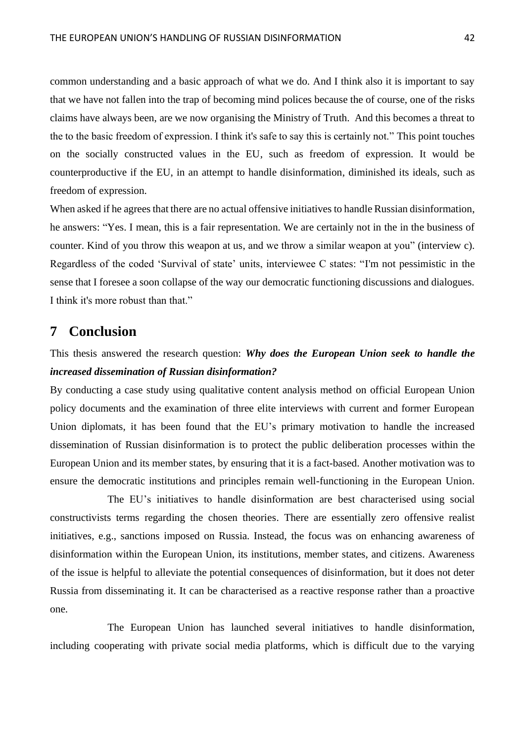common understanding and a basic approach of what we do. And I think also it is important to say that we have not fallen into the trap of becoming mind polices because the of course, one of the risks claims have always been, are we now organising the Ministry of Truth. And this becomes a threat to the to the basic freedom of expression. I think it's safe to say this is certainly not." This point touches on the socially constructed values in the EU, such as freedom of expression. It would be counterproductive if the EU, in an attempt to handle disinformation, diminished its ideals, such as freedom of expression.

When asked if he agrees that there are no actual offensive initiatives to handle Russian disinformation, he answers: "Yes. I mean, this is a fair representation. We are certainly not in the in the business of counter. Kind of you throw this weapon at us, and we throw a similar weapon at you" (interview c). Regardless of the coded 'Survival of state' units, interviewee C states: "I'm not pessimistic in the sense that I foresee a soon collapse of the way our democratic functioning discussions and dialogues. I think it's more robust than that."

# <span id="page-42-0"></span>**7 Conclusion**

# This thesis answered the research question: *Why does the European Union seek to handle the increased dissemination of Russian disinformation?*

By conducting a case study using qualitative content analysis method on official European Union policy documents and the examination of three elite interviews with current and former European Union diplomats, it has been found that the EU's primary motivation to handle the increased dissemination of Russian disinformation is to protect the public deliberation processes within the European Union and its member states, by ensuring that it is a fact-based. Another motivation was to ensure the democratic institutions and principles remain well-functioning in the European Union.

The EU's initiatives to handle disinformation are best characterised using social constructivists terms regarding the chosen theories. There are essentially zero offensive realist initiatives, e.g., sanctions imposed on Russia. Instead, the focus was on enhancing awareness of disinformation within the European Union, its institutions, member states, and citizens. Awareness of the issue is helpful to alleviate the potential consequences of disinformation, but it does not deter Russia from disseminating it. It can be characterised as a reactive response rather than a proactive one.

The European Union has launched several initiatives to handle disinformation, including cooperating with private social media platforms, which is difficult due to the varying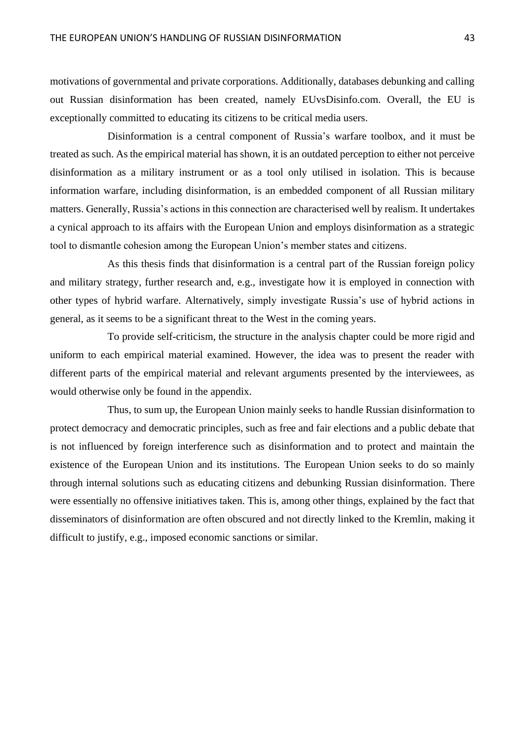motivations of governmental and private corporations. Additionally, databases debunking and calling out Russian disinformation has been created, namely EUvsDisinfo.com. Overall, the EU is exceptionally committed to educating its citizens to be critical media users.

Disinformation is a central component of Russia's warfare toolbox, and it must be treated as such. As the empirical material has shown, it is an outdated perception to either not perceive disinformation as a military instrument or as a tool only utilised in isolation. This is because information warfare, including disinformation, is an embedded component of all Russian military matters. Generally, Russia's actions in this connection are characterised well by realism. It undertakes a cynical approach to its affairs with the European Union and employs disinformation as a strategic tool to dismantle cohesion among the European Union's member states and citizens.

As this thesis finds that disinformation is a central part of the Russian foreign policy and military strategy, further research and, e.g., investigate how it is employed in connection with other types of hybrid warfare. Alternatively, simply investigate Russia's use of hybrid actions in general, as it seems to be a significant threat to the West in the coming years.

To provide self-criticism, the structure in the analysis chapter could be more rigid and uniform to each empirical material examined. However, the idea was to present the reader with different parts of the empirical material and relevant arguments presented by the interviewees, as would otherwise only be found in the appendix.

Thus, to sum up, the European Union mainly seeks to handle Russian disinformation to protect democracy and democratic principles, such as free and fair elections and a public debate that is not influenced by foreign interference such as disinformation and to protect and maintain the existence of the European Union and its institutions. The European Union seeks to do so mainly through internal solutions such as educating citizens and debunking Russian disinformation. There were essentially no offensive initiatives taken. This is, among other things, explained by the fact that disseminators of disinformation are often obscured and not directly linked to the Kremlin, making it difficult to justify, e.g., imposed economic sanctions or similar.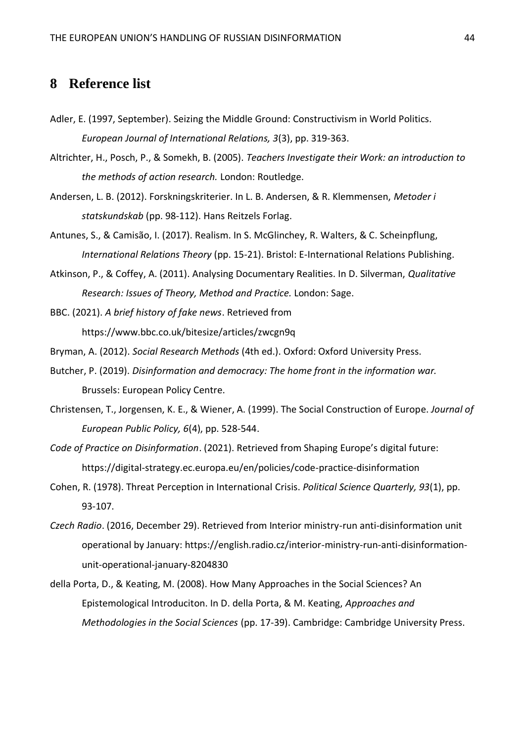# <span id="page-44-0"></span>**8 Reference list**

- Adler, E. (1997, September). Seizing the Middle Ground: Constructivism in World Politics. *European Journal of International Relations, 3*(3), pp. 319-363.
- Altrichter, H., Posch, P., & Somekh, B. (2005). *Teachers Investigate their Work: an introduction to the methods of action research.* London: Routledge.
- Andersen, L. B. (2012). Forskningskriterier. In L. B. Andersen, & R. Klemmensen, *Metoder i statskundskab* (pp. 98-112). Hans Reitzels Forlag.
- Antunes, S., & Camisão, I. (2017). Realism. In S. McGlinchey, R. Walters, & C. Scheinpflung, *International Relations Theory* (pp. 15-21). Bristol: E-International Relations Publishing.
- Atkinson, P., & Coffey, A. (2011). Analysing Documentary Realities. In D. Silverman, *Qualitative Research: Issues of Theory, Method and Practice.* London: Sage.

BBC. (2021). *A brief history of fake news*. Retrieved from https://www.bbc.co.uk/bitesize/articles/zwcgn9q

- Bryman, A. (2012). *Social Research Methods* (4th ed.). Oxford: Oxford University Press.
- Butcher, P. (2019). *Disinformation and democracy: The home front in the information war.* Brussels: European Policy Centre.
- Christensen, T., Jorgensen, K. E., & Wiener, A. (1999). The Social Construction of Europe. *Journal of European Public Policy, 6*(4), pp. 528-544.
- *Code of Practice on Disinformation*. (2021). Retrieved from Shaping Europe's digital future: https://digital-strategy.ec.europa.eu/en/policies/code-practice-disinformation
- Cohen, R. (1978). Threat Perception in International Crisis. *Political Science Quarterly, 93*(1), pp. 93-107.
- *Czech Radio*. (2016, December 29). Retrieved from Interior ministry-run anti-disinformation unit operational by January: https://english.radio.cz/interior-ministry-run-anti-disinformationunit-operational-january-8204830
- della Porta, D., & Keating, M. (2008). How Many Approaches in the Social Sciences? An Epistemological Introduciton. In D. della Porta, & M. Keating, *Approaches and Methodologies in the Social Sciences* (pp. 17-39). Cambridge: Cambridge University Press.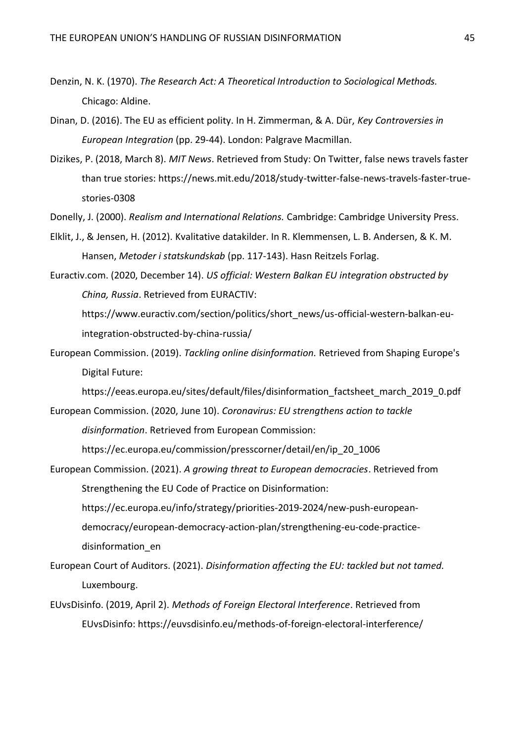- Denzin, N. K. (1970). *The Research Act: A Theoretical Introduction to Sociological Methods.* Chicago: Aldine.
- Dinan, D. (2016). The EU as efficient polity. In H. Zimmerman, & A. Dür, *Key Controversies in European Integration* (pp. 29-44). London: Palgrave Macmillan.
- Dizikes, P. (2018, March 8). *MIT News*. Retrieved from Study: On Twitter, false news travels faster than true stories: https://news.mit.edu/2018/study-twitter-false-news-travels-faster-truestories-0308
- Donelly, J. (2000). *Realism and International Relations.* Cambridge: Cambridge University Press.
- Elklit, J., & Jensen, H. (2012). Kvalitative datakilder. In R. Klemmensen, L. B. Andersen, & K. M. Hansen, *Metoder i statskundskab* (pp. 117-143). Hasn Reitzels Forlag.
- Euractiv.com. (2020, December 14). *US official: Western Balkan EU integration obstructed by China, Russia*. Retrieved from EURACTIV:

https://www.euractiv.com/section/politics/short\_news/us-official-western-balkan-euintegration-obstructed-by-china-russia/

European Commission. (2019). *Tackling online disinformation.* Retrieved from Shaping Europe's Digital Future:

https://eeas.europa.eu/sites/default/files/disinformation factsheet march 2019 0.pdf

European Commission. (2020, June 10). *Coronavirus: EU strengthens action to tackle disinformation*. Retrieved from European Commission:

https://ec.europa.eu/commission/presscorner/detail/en/ip\_20\_1006

- European Commission. (2021). *A growing threat to European democracies*. Retrieved from Strengthening the EU Code of Practice on Disinformation: https://ec.europa.eu/info/strategy/priorities-2019-2024/new-push-europeandemocracy/european-democracy-action-plan/strengthening-eu-code-practicedisinformation\_en
- European Court of Auditors. (2021). *Disinformation affecting the EU: tackled but not tamed.* Luxembourg.
- EUvsDisinfo. (2019, April 2). *Methods of Foreign Electoral Interference*. Retrieved from EUvsDisinfo: https://euvsdisinfo.eu/methods-of-foreign-electoral-interference/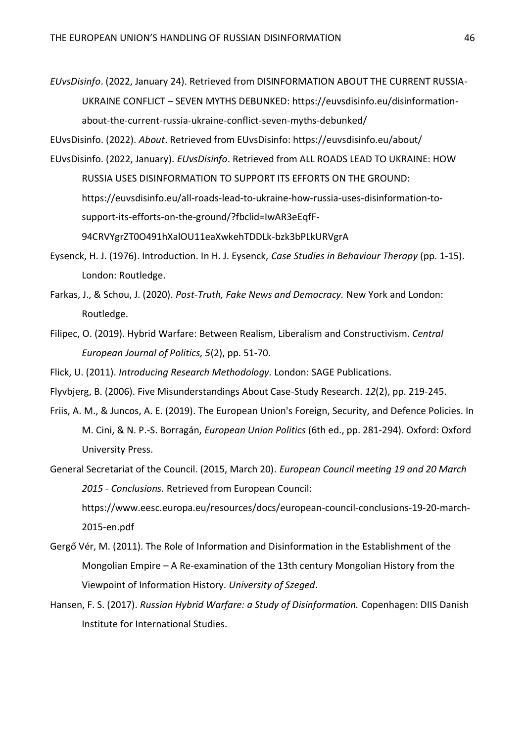*EUvsDisinfo*. (2022, January 24). Retrieved from DISINFORMATION ABOUT THE CURRENT RUSSIA-UKRAINE CONFLICT – SEVEN MYTHS DEBUNKED: https://euvsdisinfo.eu/disinformationabout-the-current-russia-ukraine-conflict-seven-myths-debunked/

EUvsDisinfo. (2022). *About*. Retrieved from EUvsDisinfo: https://euvsdisinfo.eu/about/

- EUvsDisinfo. (2022, January). *EUvsDisinfo*. Retrieved from ALL ROADS LEAD TO UKRAINE: HOW RUSSIA USES DISINFORMATION TO SUPPORT ITS EFFORTS ON THE GROUND: https://euvsdisinfo.eu/all-roads-lead-to-ukraine-how-russia-uses-disinformation-tosupport-its-efforts-on-the-ground/?fbclid=IwAR3eEqfF-94CRVYgrZT0O491hXalOU11eaXwkehTDDLk-bzk3bPLkURVgrA
- Eysenck, H. J. (1976). Introduction. In H. J. Eysenck, *Case Studies in Behaviour Therapy* (pp. 1-15). London: Routledge.
- Farkas, J., & Schou, J. (2020). *Post-Truth, Fake News and Democracy.* New York and London: Routledge.
- Filipec, O. (2019). Hybrid Warfare: Between Realism, Liberalism and Constructivism. *Central European Journal of Politics, 5*(2), pp. 51-70.
- Flick, U. (2011). *Introducing Research Methodology.* London: SAGE Publications.
- Flyvbjerg, B. (2006). Five Misunderstandings About Case-Study Research. *12*(2), pp. 219-245.
- Friis, A. M., & Juncos, A. E. (2019). The European Union's Foreign, Security, and Defence Policies. In M. Cini, & N. P.-S. Borragán, *European Union Politics* (6th ed., pp. 281-294). Oxford: Oxford University Press.
- General Secretariat of the Council. (2015, March 20). *European Council meeting 19 and 20 March 2015 - Conclusions.* Retrieved from European Council: https://www.eesc.europa.eu/resources/docs/european-council-conclusions-19-20-march-2015-en.pdf
- Gergő Vér, M. (2011). The Role of Information and Disinformation in the Establishment of the Mongolian Empire – A Re-examination of the 13th century Mongolian History from the Viewpoint of Information History. *University of Szeged*.
- Hansen, F. S. (2017). *Russian Hybrid Warfare: a Study of Disinformation.* Copenhagen: DIIS Danish Institute for International Studies.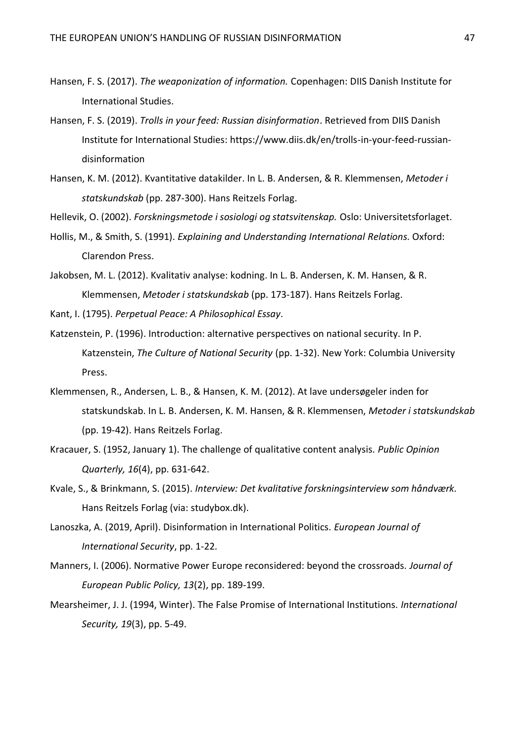- Hansen, F. S. (2017). *The weaponization of information.* Copenhagen: DIIS Danish Institute for International Studies.
- Hansen, F. S. (2019). *Trolls in your feed: Russian disinformation*. Retrieved from DIIS Danish Institute for International Studies: https://www.diis.dk/en/trolls-in-your-feed-russiandisinformation
- Hansen, K. M. (2012). Kvantitative datakilder. In L. B. Andersen, & R. Klemmensen, *Metoder i statskundskab* (pp. 287-300). Hans Reitzels Forlag.
- Hellevik, O. (2002). *Forskningsmetode i sosiologi og statsvitenskap.* Oslo: Universitetsforlaget.
- Hollis, M., & Smith, S. (1991). *Explaining and Understanding International Relations.* Oxford: Clarendon Press.
- Jakobsen, M. L. (2012). Kvalitativ analyse: kodning. In L. B. Andersen, K. M. Hansen, & R. Klemmensen, *Metoder i statskundskab* (pp. 173-187). Hans Reitzels Forlag.

Kant, I. (1795). *Perpetual Peace: A Philosophical Essay.*

- Katzenstein, P. (1996). Introduction: alternative perspectives on national security. In P. Katzenstein, *The Culture of National Security* (pp. 1-32). New York: Columbia University Press.
- Klemmensen, R., Andersen, L. B., & Hansen, K. M. (2012). At lave undersøgeler inden for statskundskab. In L. B. Andersen, K. M. Hansen, & R. Klemmensen, *Metoder i statskundskab* (pp. 19-42). Hans Reitzels Forlag.
- Kracauer, S. (1952, January 1). The challenge of qualitative content analysis. *Public Opinion Quarterly, 16*(4), pp. 631-642.
- Kvale, S., & Brinkmann, S. (2015). *Interview: Det kvalitative forskningsinterview som håndværk.* Hans Reitzels Forlag (via: studybox.dk).
- Lanoszka, A. (2019, April). Disinformation in International Politics. *European Journal of International Security*, pp. 1-22.
- Manners, I. (2006). Normative Power Europe reconsidered: beyond the crossroads. *Journal of European Public Policy, 13*(2), pp. 189-199.
- Mearsheimer, J. J. (1994, Winter). The False Promise of International Institutions. *International Security, 19*(3), pp. 5-49.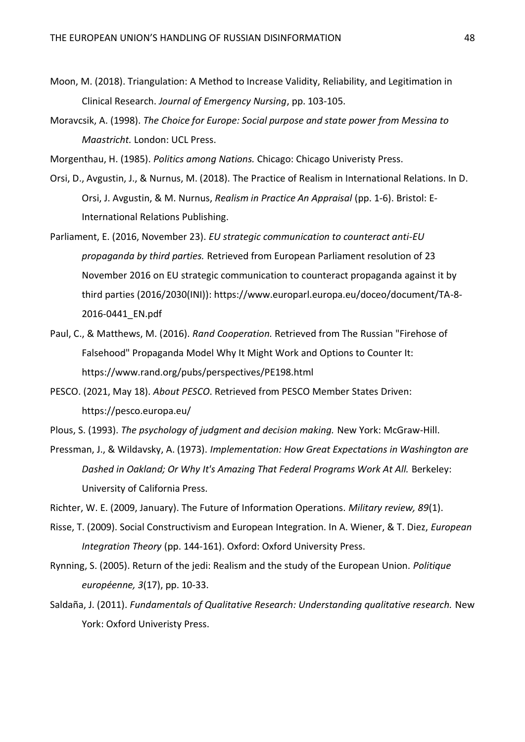- Moon, M. (2018). Triangulation: A Method to Increase Validity, Reliability, and Legitimation in Clinical Research. *Journal of Emergency Nursing*, pp. 103-105.
- Moravcsik, A. (1998). *The Choice for Europe: Social purpose and state power from Messina to Maastricht.* London: UCL Press.
- Morgenthau, H. (1985). *Politics among Nations.* Chicago: Chicago Univeristy Press.
- Orsi, D., Avgustin, J., & Nurnus, M. (2018). The Practice of Realism in International Relations. In D. Orsi, J. Avgustin, & M. Nurnus, *Realism in Practice An Appraisal* (pp. 1-6). Bristol: E-International Relations Publishing.
- Parliament, E. (2016, November 23). *EU strategic communication to counteract anti-EU propaganda by third parties.* Retrieved from European Parliament resolution of 23 November 2016 on EU strategic communication to counteract propaganda against it by third parties (2016/2030(INI)): https://www.europarl.europa.eu/doceo/document/TA-8- 2016-0441\_EN.pdf
- Paul, C., & Matthews, M. (2016). *Rand Cooperation.* Retrieved from The Russian "Firehose of Falsehood" Propaganda Model Why It Might Work and Options to Counter It: https://www.rand.org/pubs/perspectives/PE198.html
- PESCO. (2021, May 18). *About PESCO*. Retrieved from PESCO Member States Driven: https://pesco.europa.eu/
- Plous, S. (1993). *The psychology of judgment and decision making.* New York: McGraw-Hill.
- Pressman, J., & Wildavsky, A. (1973). *Implementation: How Great Expectations in Washington are Dashed in Oakland; Or Why It's Amazing That Federal Programs Work At All.* Berkeley: University of California Press.

Richter, W. E. (2009, January). The Future of Information Operations. *Military review, 89*(1).

- Risse, T. (2009). Social Constructivism and European Integration. In A. Wiener, & T. Diez, *European Integration Theory* (pp. 144-161). Oxford: Oxford University Press.
- Rynning, S. (2005). Return of the jedi: Realism and the study of the European Union. *Politique européenne, 3*(17), pp. 10-33.
- Saldaña, J. (2011). *Fundamentals of Qualitative Research: Understanding qualitative research.* New York: Oxford Univeristy Press.